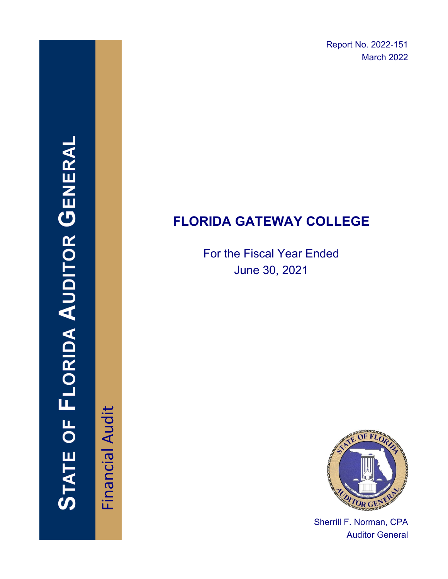Report No. 2022-151 March 2022

# **FLORIDA GATEWAY COLLEGE**

For the Fiscal Year Ended June 30, 2021



Sherrill F. Norman, CPA Auditor General

Financial Audit Financial Audit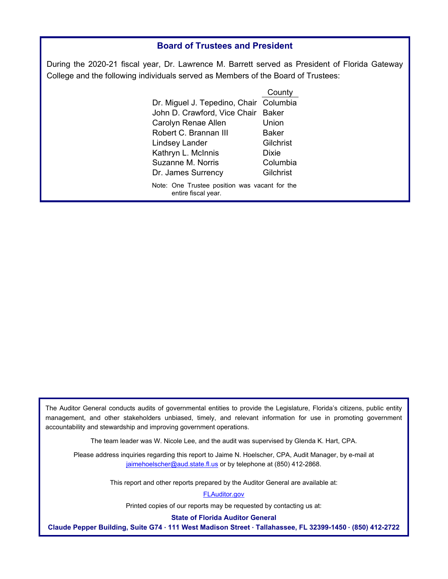#### **Board of Trustees and President**

During the 2020-21 fiscal year, Dr. Lawrence M. Barrett served as President of Florida Gateway College and the following individuals served as Members of the Board of Trustees:

|                                                                      | County    |
|----------------------------------------------------------------------|-----------|
| Dr. Miguel J. Tepedino, Chair Columbia                               |           |
| John D. Crawford, Vice Chair                                         | Baker     |
| Carolyn Renae Allen                                                  | Union     |
| Robert C. Brannan III                                                | Baker     |
| <b>Lindsey Lander</b>                                                | Gilchrist |
| Kathryn L. McInnis                                                   | Dixie     |
| Suzanne M. Norris                                                    | Columbia  |
| Dr. James Surrency                                                   | Gilchrist |
| Note: One Trustee position was vacant for the<br>entire fiscal year. |           |

The Auditor General conducts audits of governmental entities to provide the Legislature, Florida's citizens, public entity management, and other stakeholders unbiased, timely, and relevant information for use in promoting government accountability and stewardship and improving government operations.

The team leader was W. Nicole Lee, and the audit was supervised by Glenda K. Hart, CPA.

Please address inquiries regarding this report to Jaime N. Hoelscher, CPA, Audit Manager, by e-mail at jaimehoelscher@aud.state.fl.us or by telephone at (850) 412-2868.

This report and other reports prepared by the Auditor General are available at:

[FLAuditor.gov](http://flauditor.gov/) 

Printed copies of our reports may be requested by contacting us at:

**State of Florida Auditor General** 

**Claude Pepper Building, Suite G74 · 111 West Madison Street · Tallahassee, FL 32399-1450 · (850) 412-2722**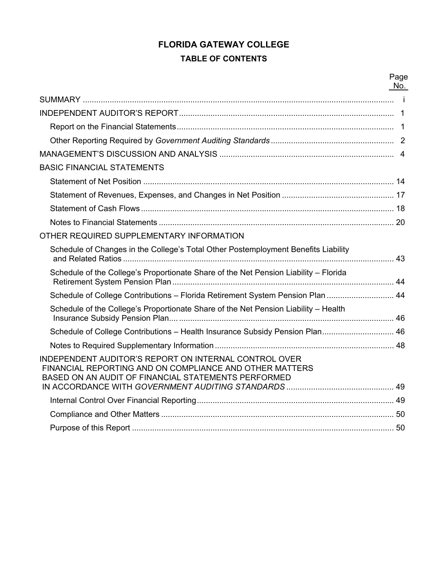## **FLORIDA GATEWAY COLLEGE TABLE OF CONTENTS**

|                                                                                                                                                                         | Page<br>No. |
|-------------------------------------------------------------------------------------------------------------------------------------------------------------------------|-------------|
|                                                                                                                                                                         |             |
|                                                                                                                                                                         |             |
|                                                                                                                                                                         |             |
|                                                                                                                                                                         |             |
|                                                                                                                                                                         |             |
| <b>BASIC FINANCIAL STATEMENTS</b>                                                                                                                                       |             |
|                                                                                                                                                                         |             |
|                                                                                                                                                                         |             |
|                                                                                                                                                                         |             |
|                                                                                                                                                                         |             |
| OTHER REQUIRED SUPPLEMENTARY INFORMATION                                                                                                                                |             |
| Schedule of Changes in the College's Total Other Postemployment Benefits Liability                                                                                      |             |
| Schedule of the College's Proportionate Share of the Net Pension Liability - Florida                                                                                    |             |
| Schedule of College Contributions - Florida Retirement System Pension Plan  44                                                                                          |             |
| Schedule of the College's Proportionate Share of the Net Pension Liability - Health                                                                                     |             |
| Schedule of College Contributions - Health Insurance Subsidy Pension Plan 46                                                                                            |             |
|                                                                                                                                                                         |             |
| INDEPENDENT AUDITOR'S REPORT ON INTERNAL CONTROL OVER<br>FINANCIAL REPORTING AND ON COMPLIANCE AND OTHER MATTERS<br>BASED ON AN AUDIT OF FINANCIAL STATEMENTS PERFORMED |             |
|                                                                                                                                                                         |             |
|                                                                                                                                                                         |             |
|                                                                                                                                                                         |             |
|                                                                                                                                                                         |             |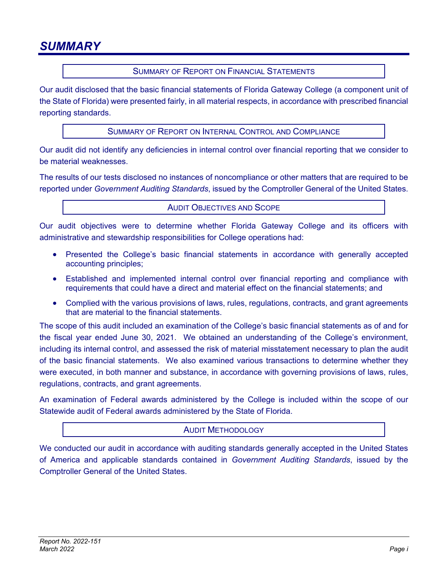## SUMMARY OF REPORT ON FINANCIAL STATEMENTS

<span id="page-3-0"></span>Our audit disclosed that the basic financial statements of Florida Gateway College (a component unit of the State of Florida) were presented fairly, in all material respects, in accordance with prescribed financial reporting standards.

SUMMARY OF REPORT ON INTERNAL CONTROL AND COMPLIANCE

Our audit did not identify any deficiencies in internal control over financial reporting that we consider to be material weaknesses.

The results of our tests disclosed no instances of noncompliance or other matters that are required to be reported under *Government Auditing Standards*, issued by the Comptroller General of the United States.

#### AUDIT OBJECTIVES AND SCOPE

Our audit objectives were to determine whether Florida Gateway College and its officers with administrative and stewardship responsibilities for College operations had:

- Presented the College's basic financial statements in accordance with generally accepted accounting principles;
- Established and implemented internal control over financial reporting and compliance with requirements that could have a direct and material effect on the financial statements; and
- Complied with the various provisions of laws, rules, regulations, contracts, and grant agreements that are material to the financial statements.

The scope of this audit included an examination of the College's basic financial statements as of and for the fiscal year ended June 30, 2021. We obtained an understanding of the College's environment, including its internal control, and assessed the risk of material misstatement necessary to plan the audit of the basic financial statements. We also examined various transactions to determine whether they were executed, in both manner and substance, in accordance with governing provisions of laws, rules, regulations, contracts, and grant agreements.

An examination of Federal awards administered by the College is included within the scope of our Statewide audit of Federal awards administered by the State of Florida.

## AUDIT METHODOLOGY

We conducted our audit in accordance with auditing standards generally accepted in the United States of America and applicable standards contained in *Government Auditing Standards*, issued by the Comptroller General of the United States.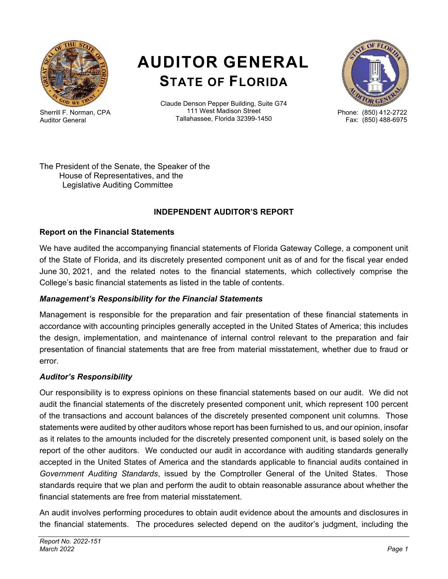<span id="page-4-0"></span>

Sherrill F. Norman, CPA Auditor General

# **AUDITOR GENERAL STATE OF FLORIDA**

Claude Denson Pepper Building, Suite G74 111 West Madison Street Tallahassee, Florida 32399-1450



Phone: (850) 412-2722 Fax: (850) 488-6975

The President of the Senate, the Speaker of the House of Representatives, and the Legislative Auditing Committee

## **INDEPENDENT AUDITOR'S REPORT**

## **Report on the Financial Statements**

We have audited the accompanying financial statements of Florida Gateway College, a component unit of the State of Florida, and its discretely presented component unit as of and for the fiscal year ended June 30, 2021, and the related notes to the financial statements, which collectively comprise the College's basic financial statements as listed in the table of contents.

## *Management's Responsibility for the Financial Statements*

Management is responsible for the preparation and fair presentation of these financial statements in accordance with accounting principles generally accepted in the United States of America; this includes the design, implementation, and maintenance of internal control relevant to the preparation and fair presentation of financial statements that are free from material misstatement, whether due to fraud or error.

## *Auditor's Responsibility*

Our responsibility is to express opinions on these financial statements based on our audit. We did not audit the financial statements of the discretely presented component unit, which represent 100 percent of the transactions and account balances of the discretely presented component unit columns. Those statements were audited by other auditors whose report has been furnished to us, and our opinion, insofar as it relates to the amounts included for the discretely presented component unit, is based solely on the report of the other auditors. We conducted our audit in accordance with auditing standards generally accepted in the United States of America and the standards applicable to financial audits contained in *Government Auditing Standards*, issued by the Comptroller General of the United States. Those standards require that we plan and perform the audit to obtain reasonable assurance about whether the financial statements are free from material misstatement.

An audit involves performing procedures to obtain audit evidence about the amounts and disclosures in the financial statements. The procedures selected depend on the auditor's judgment, including the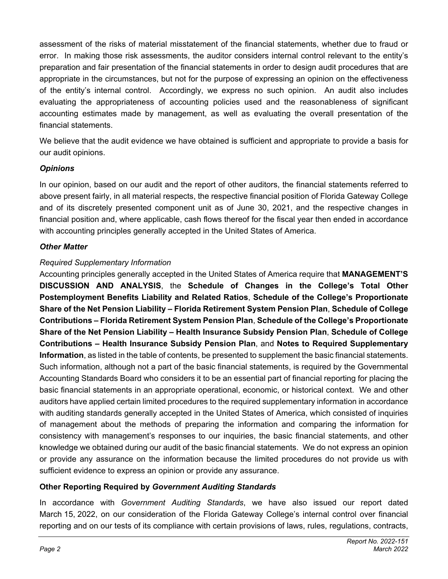<span id="page-5-0"></span>assessment of the risks of material misstatement of the financial statements, whether due to fraud or error. In making those risk assessments, the auditor considers internal control relevant to the entity's preparation and fair presentation of the financial statements in order to design audit procedures that are appropriate in the circumstances, but not for the purpose of expressing an opinion on the effectiveness of the entity's internal control. Accordingly, we express no such opinion. An audit also includes evaluating the appropriateness of accounting policies used and the reasonableness of significant accounting estimates made by management, as well as evaluating the overall presentation of the financial statements.

We believe that the audit evidence we have obtained is sufficient and appropriate to provide a basis for our audit opinions.

## *Opinions*

In our opinion, based on our audit and the report of other auditors, the financial statements referred to above present fairly, in all material respects, the respective financial position of Florida Gateway College and of its discretely presented component unit as of June 30, 2021, and the respective changes in financial position and, where applicable, cash flows thereof for the fiscal year then ended in accordance with accounting principles generally accepted in the United States of America.

## *Other Matter*

## *Required Supplementary Information*

Accounting principles generally accepted in the United States of America require that **MANAGEMENT'S DISCUSSION AND ANALYSIS**, the **Schedule of Changes in the College's Total Other Postemployment Benefits Liability and Related Ratios**, **Schedule of the College's Proportionate Share of the Net Pension Liability – Florida Retirement System Pension Plan**, **Schedule of College Contributions – Florida Retirement System Pension Plan**, **Schedule of the College's Proportionate Share of the Net Pension Liability – Health Insurance Subsidy Pension Plan**, **Schedule of College Contributions – Health Insurance Subsidy Pension Plan**, and **Notes to Required Supplementary Information**, as listed in the table of contents, be presented to supplement the basic financial statements. Such information, although not a part of the basic financial statements, is required by the Governmental Accounting Standards Board who considers it to be an essential part of financial reporting for placing the basic financial statements in an appropriate operational, economic, or historical context. We and other auditors have applied certain limited procedures to the required supplementary information in accordance with auditing standards generally accepted in the United States of America, which consisted of inquiries of management about the methods of preparing the information and comparing the information for consistency with management's responses to our inquiries, the basic financial statements, and other knowledge we obtained during our audit of the basic financial statements. We do not express an opinion or provide any assurance on the information because the limited procedures do not provide us with sufficient evidence to express an opinion or provide any assurance.

## **Other Reporting Required by** *Government Auditing Standards*

In accordance with *Government Auditing Standards*, we have also issued our report dated March 15, 2022, on our consideration of the Florida Gateway College's internal control over financial reporting and on our tests of its compliance with certain provisions of laws, rules, regulations, contracts,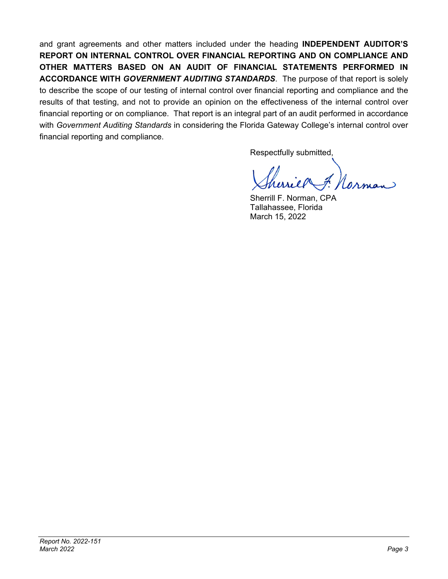and grant agreements and other matters included under the heading **INDEPENDENT AUDITOR'S REPORT ON INTERNAL CONTROL OVER FINANCIAL REPORTING AND ON COMPLIANCE AND OTHER MATTERS BASED ON AN AUDIT OF FINANCIAL STATEMENTS PERFORMED IN ACCORDANCE WITH** *GOVERNMENT AUDITING STANDARDS*. The purpose of that report is solely to describe the scope of our testing of internal control over financial reporting and compliance and the results of that testing, and not to provide an opinion on the effectiveness of the internal control over financial reporting or on compliance. That report is an integral part of an audit performed in accordance with *Government Auditing Standards* in considering the Florida Gateway College's internal control over financial reporting and compliance.

Respectfully submitted,

Sherrill F. Norman, CPA Tallahassee, Florida March 15, 2022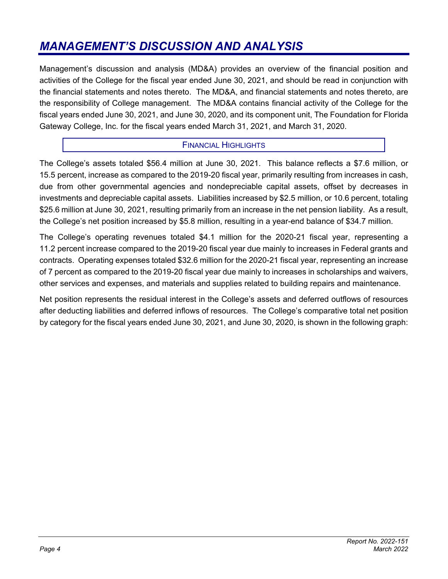## <span id="page-7-0"></span>*MANAGEMENT'S DISCUSSION AND ANALYSIS*

Management's discussion and analysis (MD&A) provides an overview of the financial position and activities of the College for the fiscal year ended June 30, 2021, and should be read in conjunction with the financial statements and notes thereto. The MD&A, and financial statements and notes thereto, are the responsibility of College management. The MD&A contains financial activity of the College for the fiscal years ended June 30, 2021, and June 30, 2020, and its component unit, The Foundation for Florida Gateway College, Inc. for the fiscal years ended March 31, 2021, and March 31, 2020.

## FINANCIAL HIGHLIGHTS

The College's assets totaled \$56.4 million at June 30, 2021. This balance reflects a \$7.6 million, or 15.5 percent, increase as compared to the 2019-20 fiscal year, primarily resulting from increases in cash, due from other governmental agencies and nondepreciable capital assets, offset by decreases in investments and depreciable capital assets. Liabilities increased by \$2.5 million, or 10.6 percent, totaling \$25.6 million at June 30, 2021, resulting primarily from an increase in the net pension liability. As a result, the College's net position increased by \$5.8 million, resulting in a year-end balance of \$34.7 million.

The College's operating revenues totaled \$4.1 million for the 2020-21 fiscal year, representing a 11.2 percent increase compared to the 2019-20 fiscal year due mainly to increases in Federal grants and contracts. Operating expenses totaled \$32.6 million for the 2020-21 fiscal year, representing an increase of 7 percent as compared to the 2019-20 fiscal year due mainly to increases in scholarships and waivers, other services and expenses, and materials and supplies related to building repairs and maintenance.

Net position represents the residual interest in the College's assets and deferred outflows of resources after deducting liabilities and deferred inflows of resources. The College's comparative total net position by category for the fiscal years ended June 30, 2021, and June 30, 2020, is shown in the following graph: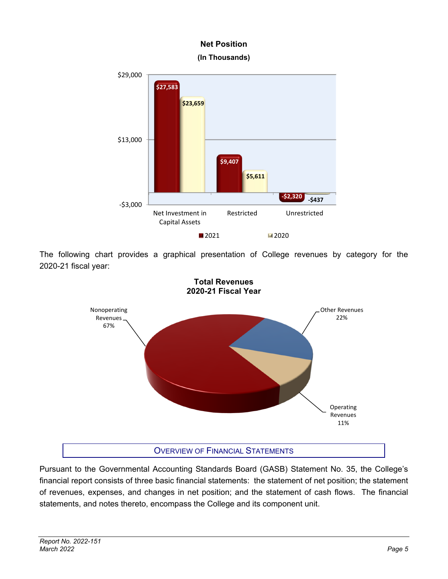



The following chart provides a graphical presentation of College revenues by category for the 2020-21 fiscal year:



Pursuant to the Governmental Accounting Standards Board (GASB) Statement No. 35, the College's financial report consists of three basic financial statements: the statement of net position; the statement of revenues, expenses, and changes in net position; and the statement of cash flows. The financial statements, and notes thereto, encompass the College and its component unit.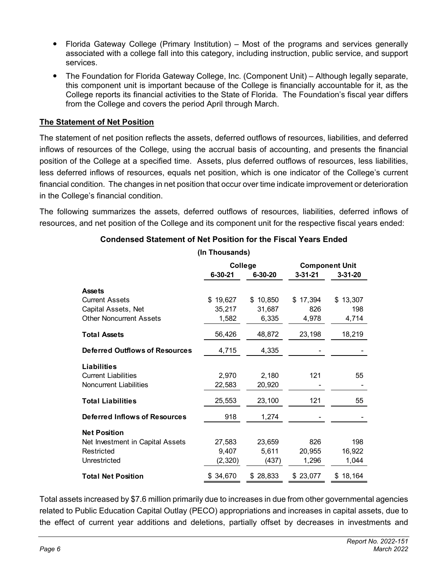- Florida Gateway College (Primary Institution) Most of the programs and services generally associated with a college fall into this category, including instruction, public service, and support services.
- The Foundation for Florida Gateway College, Inc. (Component Unit) Although legally separate, this component unit is important because of the College is financially accountable for it, as the College reports its financial activities to the State of Florida. The Foundation's fiscal year differs from the College and covers the period April through March.

#### **The Statement of Net Position**

The statement of net position reflects the assets, deferred outflows of resources, liabilities, and deferred inflows of resources of the College, using the accrual basis of accounting, and presents the financial position of the College at a specified time. Assets, plus deferred outflows of resources, less liabilities, less deferred inflows of resources, equals net position, which is one indicator of the College's current financial condition. The changes in net position that occur over time indicate improvement or deterioration in the College's financial condition.

The following summarizes the assets, deferred outflows of resources, liabilities, deferred inflows of resources, and net position of the College and its component unit for the respective fiscal years ended:

|                                       | College  |               | <b>Component Unit</b> |               |  |
|---------------------------------------|----------|---------------|-----------------------|---------------|--|
|                                       | 6-30-21  | $6 - 30 - 20$ | $3 - 31 - 21$         | $3 - 31 - 20$ |  |
| <b>Assets</b>                         |          |               |                       |               |  |
| <b>Current Assets</b>                 | \$19,627 | \$10,850      | \$17,394              | \$13,307      |  |
| Capital Assets, Net                   | 35,217   | 31,687        | 826                   | 198           |  |
| <b>Other Noncurrent Assets</b>        | 1,582    | 6,335         | 4,978                 | 4,714         |  |
| <b>Total Assets</b>                   | 56,426   | 48,872        | 23,198                | 18,219        |  |
| <b>Deferred Outflows of Resources</b> | 4,715    | 4,335         |                       |               |  |
| <b>Liabilities</b>                    |          |               |                       |               |  |
| <b>Current Liabilities</b>            | 2,970    | 2,180         | 121                   | 55            |  |
| <b>Noncurrent Liabilities</b>         | 22,583   | 20,920        |                       |               |  |
| <b>Total Liabilities</b>              | 25,553   | 23,100        | 121                   | 55            |  |
| Deferred Inflows of Resources         | 918      | 1,274         |                       |               |  |
| <b>Net Position</b>                   |          |               |                       |               |  |
| Net Investment in Capital Assets      | 27,583   | 23,659        | 826                   | 198           |  |
| Restricted                            | 9,407    | 5,611         | 20,955                | 16,922        |  |
| Unrestricted                          | (2,320)  | (437)         | 1,296                 | 1,044         |  |
| <b>Total Net Position</b>             | \$34,670 | \$28,833      | \$23,077              | \$18,164      |  |

### **Condensed Statement of Net Position for the Fiscal Years Ended (In Thousands)**

Total assets increased by \$7.6 million primarily due to increases in due from other governmental agencies related to Public Education Capital Outlay (PECO) appropriations and increases in capital assets, due to the effect of current year additions and deletions, partially offset by decreases in investments and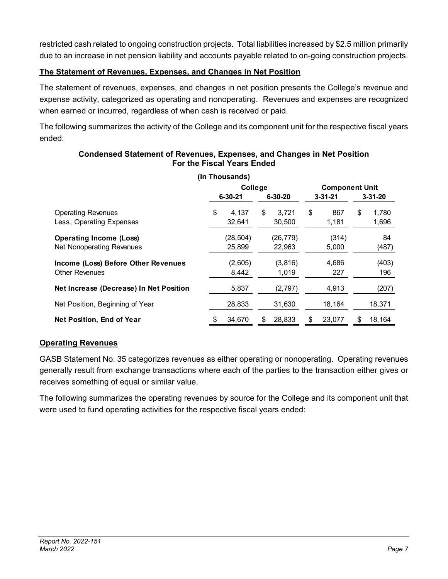restricted cash related to ongoing construction projects. Total liabilities increased by \$2.5 million primarily due to an increase in net pension liability and accounts payable related to on-going construction projects.

## **The Statement of Revenues, Expenses, and Changes in Net Position**

The statement of revenues, expenses, and changes in net position presents the College's revenue and expense activity, categorized as operating and nonoperating. Revenues and expenses are recognized when earned or incurred, regardless of when cash is received or paid.

The following summarizes the activity of the College and its component unit for the respective fiscal years ended:

|                                                              |    | (In Thousands)      |    |                     |                       |                      |
|--------------------------------------------------------------|----|---------------------|----|---------------------|-----------------------|----------------------|
|                                                              |    | College             |    |                     | <b>Component Unit</b> |                      |
|                                                              |    | 6-30-21             |    | 6-30-20             | $3 - 31 - 21$         | $3 - 31 - 20$        |
| <b>Operating Revenues</b><br>Less, Operating Expenses        | \$ | 4,137<br>32,641     | \$ | 3,721<br>30,500     | \$<br>867<br>1,181    | \$<br>1,780<br>1,696 |
| <b>Operating Income (Loss)</b><br>Net Nonoperating Revenues  |    | (28, 504)<br>25,899 |    | (26, 779)<br>22,963 | (314)<br>5,000        | 84<br>(487)          |
| Income (Loss) Before Other Revenues<br><b>Other Revenues</b> |    | (2,605)<br>8,442    |    | (3,816)<br>1,019    | 4.686<br>227          | (403)<br>196         |
| Net Increase (Decrease) In Net Position                      |    | 5,837               |    | (2,797)             | 4,913                 | (207)                |
| Net Position, Beginning of Year                              |    | 28,833              |    | 31,630              | 18,164                | 18,371               |
| <b>Net Position, End of Year</b>                             | S  | 34,670              | S  | 28,833              | \$<br>23,077          | \$<br>18,164         |

### **Condensed Statement of Revenues, Expenses, and Changes in Net Position For the Fiscal Years Ended**

## **Operating Revenues**

GASB Statement No. 35 categorizes revenues as either operating or nonoperating. Operating revenues generally result from exchange transactions where each of the parties to the transaction either gives or receives something of equal or similar value.

The following summarizes the operating revenues by source for the College and its component unit that were used to fund operating activities for the respective fiscal years ended: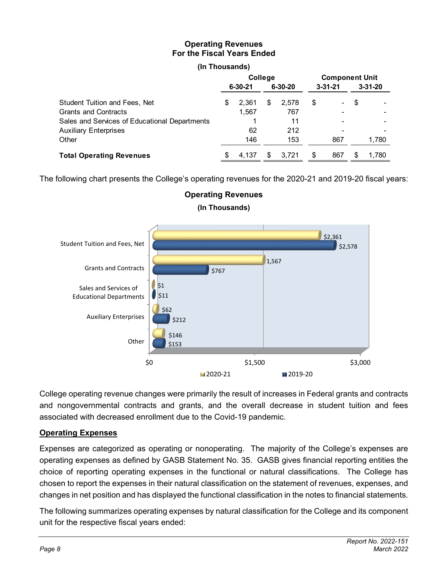## **Operating Revenues For the Fiscal Years Ended**

#### **(In Thousands)**

|                                               | College |         |     | <b>Component Unit</b> |     |               |     |               |
|-----------------------------------------------|---------|---------|-----|-----------------------|-----|---------------|-----|---------------|
|                                               |         | 6-30-21 |     | $6 - 30 - 20$         |     | $3 - 31 - 21$ |     | $3 - 31 - 20$ |
| <b>Student Tuition and Fees, Net</b>          | \$      | 2.361   | \$  | 2.578                 | S   | ۰.            | \$  |               |
| <b>Grants and Contracts</b>                   |         | 1.567   |     | 767                   |     | -             |     | ۰             |
| Sales and Services of Educational Departments |         |         |     | 11                    |     |               |     |               |
| <b>Auxiliary Enterprises</b>                  |         | 62      |     | 212                   |     |               |     |               |
| Other                                         |         | 146     |     | 153                   |     | 867           |     | 1,780         |
| <b>Total Operating Revenues</b>               | \$      | 4.137   | \$. | 3.721                 | \$. | 867           | \$. | 1.780         |

The following chart presents the College's operating revenues for the 2020-21 and 2019-20 fiscal years:



**Operating Revenues** 

**(In Thousands)** 

College operating revenue changes were primarily the result of increases in Federal grants and contracts and nongovernmental contracts and grants, and the overall decrease in student tuition and fees associated with decreased enrollment due to the Covid-19 pandemic.

## **Operating Expenses**

Expenses are categorized as operating or nonoperating. The majority of the College's expenses are operating expenses as defined by GASB Statement No. 35. GASB gives financial reporting entities the choice of reporting operating expenses in the functional or natural classifications. The College has chosen to report the expenses in their natural classification on the statement of revenues, expenses, and changes in net position and has displayed the functional classification in the notes to financial statements.

The following summarizes operating expenses by natural classification for the College and its component unit for the respective fiscal years ended: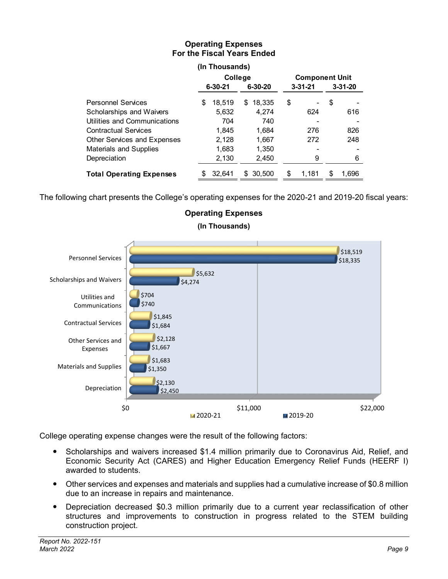|                            | <b>Operating Expenses</b> |  |
|----------------------------|---------------------------|--|
| For the Fiscal Years Ended |                           |  |

| (In Thousands)                     |   |         |    |         |    |                       |    |               |  |  |
|------------------------------------|---|---------|----|---------|----|-----------------------|----|---------------|--|--|
| College                            |   |         |    |         |    | <b>Component Unit</b> |    |               |  |  |
|                                    |   | 6-30-21 |    | 6-30-20 |    | $3 - 31 - 21$         |    | $3 - 31 - 20$ |  |  |
| <b>Personnel Services</b>          | S | 18,519  | \$ | 18,335  | \$ |                       | \$ |               |  |  |
| Scholarships and Waivers           |   | 5,632   |    | 4,274   |    | 624                   |    | 616           |  |  |
| Utilities and Communications       |   | 704     |    | 740     |    |                       |    |               |  |  |
| <b>Contractual Services</b>        |   | 1.845   |    | 1,684   |    | 276                   |    | 826           |  |  |
| <b>Other Services and Expenses</b> |   | 2,128   |    | 1,667   |    | 272                   |    | 248           |  |  |
| <b>Materials and Supplies</b>      |   | 1.683   |    | 1,350   |    |                       |    |               |  |  |
| Depreciation                       |   | 2,130   |    | 2,450   |    | 9                     |    | 6             |  |  |
| <b>Total Operating Expenses</b>    |   | 32.641  | \$ | 30.500  | S  | 1.181                 | S  | 1,696         |  |  |

The following chart presents the College's operating expenses for the 2020-21 and 2019-20 fiscal years:



## **Operating Expenses**

**(In Thousands)** 

College operating expense changes were the result of the following factors:

- Scholarships and waivers increased \$1.4 million primarily due to Coronavirus Aid, Relief, and Economic Security Act (CARES) and Higher Education Emergency Relief Funds (HEERF I) awarded to students.
- Other services and expenses and materials and supplies had a cumulative increase of \$0.8 million due to an increase in repairs and maintenance.
- Depreciation decreased \$0.3 million primarily due to a current year reclassification of other structures and improvements to construction in progress related to the STEM building construction project.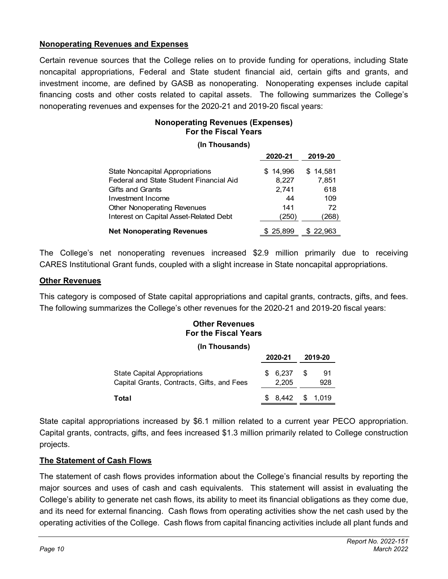### **Nonoperating Revenues and Expenses**

Certain revenue sources that the College relies on to provide funding for operations, including State noncapital appropriations, Federal and State student financial aid, certain gifts and grants, and investment income, are defined by GASB as nonoperating. Nonoperating expenses include capital financing costs and other costs related to capital assets. The following summarizes the College's nonoperating revenues and expenses for the 2020-21 and 2019-20 fiscal years:

### **Nonoperating Revenues (Expenses) For the Fiscal Years**

#### **(In Thousands)**

|                                                                            | 2020-21              | 2019-20           |
|----------------------------------------------------------------------------|----------------------|-------------------|
| State Noncapital Appropriations<br>Federal and State Student Financial Aid | 14,996<br>S<br>8,227 | \$14,581<br>7,851 |
| Gifts and Grants                                                           | 2.741                | 618               |
| Investment Income<br><b>Other Nonoperating Revenues</b>                    | 44<br>141            | 109<br>72         |
| Interest on Capital Asset-Related Debt                                     | (250)                | (268)             |
| <b>Net Nonoperating Revenues</b>                                           | \$25.899             | 22,963            |

The College's net nonoperating revenues increased \$2.9 million primarily due to receiving CARES Institutional Grant funds, coupled with a slight increase in State noncapital appropriations.

#### **Other Revenues**

This category is composed of State capital appropriations and capital grants, contracts, gifts, and fees. The following summarizes the College's other revenues for the 2020-21 and 2019-20 fiscal years:

## **Other Revenues For the Fiscal Years**

#### **(In Thousands)**

|                                                                                   | 2020-21           |    | 2019-20   |
|-----------------------------------------------------------------------------------|-------------------|----|-----------|
| <b>State Capital Appropriations</b><br>Capital Grants, Contracts, Gifts, and Fees | \$6,237<br>2.205  | -S | 91<br>928 |
| Total                                                                             | $$8,442$ $$1,019$ |    |           |

State capital appropriations increased by \$6.1 million related to a current year PECO appropriation. Capital grants, contracts, gifts, and fees increased \$1.3 million primarily related to College construction projects.

#### **The Statement of Cash Flows**

The statement of cash flows provides information about the College's financial results by reporting the major sources and uses of cash and cash equivalents. This statement will assist in evaluating the College's ability to generate net cash flows, its ability to meet its financial obligations as they come due, and its need for external financing. Cash flows from operating activities show the net cash used by the operating activities of the College. Cash flows from capital financing activities include all plant funds and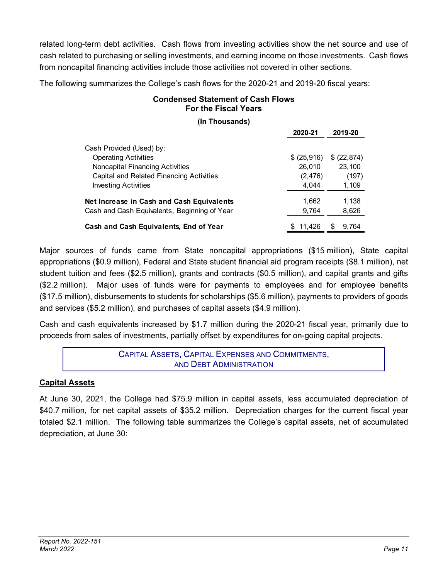related long-term debt activities. Cash flows from investing activities show the net source and use of cash related to purchasing or selling investments, and earning income on those investments. Cash flows from noncapital financing activities include those activities not covered in other sections.

The following summarizes the College's cash flows for the 2020-21 and 2019-20 fiscal years:

## **Condensed Statement of Cash Flows For the Fiscal Years**

#### **(In Thousands)**

|                                              | 2020-21    | 2019-20      |
|----------------------------------------------|------------|--------------|
| Cash Provided (Used) by:                     |            |              |
| <b>Operating Activities</b>                  | \$(25,916) | \$ (22, 874) |
| <b>Noncapital Financing Activities</b>       | 26,010     | 23,100       |
| Capital and Related Financing Activities     | (2, 476)   | (197)        |
| <b>Investing Activities</b>                  | 4.044      | 1,109        |
| Net Increase in Cash and Cash Equivalents    | 1.662      | 1.138        |
| Cash and Cash Equivalents, Beginning of Year | 9,764      | 8,626        |
| Cash and Cash Equivalents, End of Year       | \$11.426   | 9.764<br>S   |

Major sources of funds came from State noncapital appropriations (\$15 million), State capital appropriations (\$0.9 million), Federal and State student financial aid program receipts (\$8.1 million), net student tuition and fees (\$2.5 million), grants and contracts (\$0.5 million), and capital grants and gifts (\$2.2 million). Major uses of funds were for payments to employees and for employee benefits (\$17.5 million), disbursements to students for scholarships (\$5.6 million), payments to providers of goods and services (\$5.2 million), and purchases of capital assets (\$4.9 million).

Cash and cash equivalents increased by \$1.7 million during the 2020-21 fiscal year, primarily due to proceeds from sales of investments, partially offset by expenditures for on-going capital projects.

> CAPITAL ASSETS, CAPITAL EXPENSES AND COMMITMENTS, AND DEBT ADMINISTRATION

## **Capital Assets**

At June 30, 2021, the College had \$75.9 million in capital assets, less accumulated depreciation of \$40.7 million, for net capital assets of \$35.2 million. Depreciation charges for the current fiscal year totaled \$2.1 million. The following table summarizes the College's capital assets, net of accumulated depreciation, at June 30: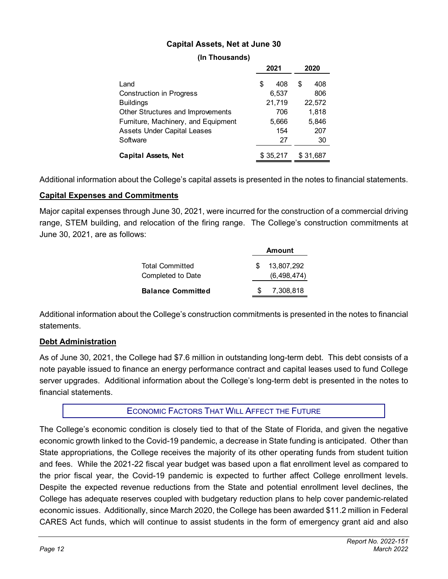## **Capital Assets, Net at June 30**

|                                     | 2021      | 2020      |
|-------------------------------------|-----------|-----------|
| Land                                | \$<br>408 | \$<br>408 |
| <b>Construction in Progress</b>     | 6,537     | 806       |
| Buildings                           | 21,719    | 22,572    |
| Other Structures and Improvements   | 706       | 1,818     |
| Furniture, Machinery, and Equipment | 5,666     | 5,846     |
| <b>Assets Under Capital Leases</b>  | 154       | 207       |
| Software                            | 27        | 30        |
| <b>Capital Assets, Net</b>          | \$35,217  | \$31,687  |

#### **(In Thousands)**

Additional information about the College's capital assets is presented in the notes to financial statements.

#### **Capital Expenses and Commitments**

Major capital expenses through June 30, 2021, were incurred for the construction of a commercial driving range, STEM building, and relocation of the firing range. The College's construction commitments at June 30, 2021, are as follows:

|                                             | Amount                    |
|---------------------------------------------|---------------------------|
| <b>Total Committed</b><br>Completed to Date | 13.807.292<br>(6,498,474) |
| <b>Balance Committed</b>                    | 7,308,818                 |

Additional information about the College's construction commitments is presented in the notes to financial statements.

## **Debt Administration**

As of June 30, 2021, the College had \$7.6 million in outstanding long-term debt. This debt consists of a note payable issued to finance an energy performance contract and capital leases used to fund College server upgrades. Additional information about the College's long-term debt is presented in the notes to financial statements.

## ECONOMIC FACTORS THAT WILL AFFECT THE FUTURE

The College's economic condition is closely tied to that of the State of Florida, and given the negative economic growth linked to the Covid-19 pandemic, a decrease in State funding is anticipated. Other than State appropriations, the College receives the majority of its other operating funds from student tuition and fees. While the 2021-22 fiscal year budget was based upon a flat enrollment level as compared to the prior fiscal year, the Covid-19 pandemic is expected to further affect College enrollment levels. Despite the expected revenue reductions from the State and potential enrollment level declines, the College has adequate reserves coupled with budgetary reduction plans to help cover pandemic-related economic issues. Additionally, since March 2020, the College has been awarded \$11.2 million in Federal CARES Act funds, which will continue to assist students in the form of emergency grant aid and also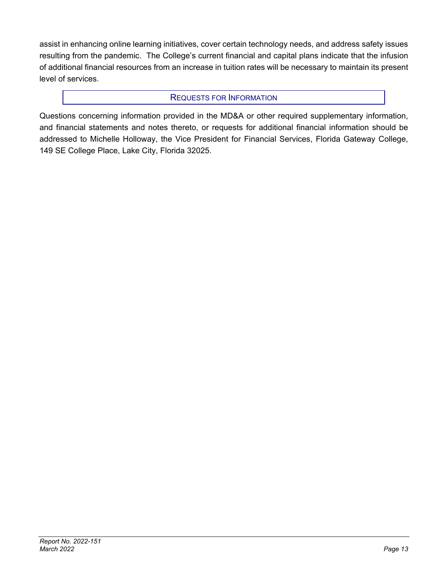assist in enhancing online learning initiatives, cover certain technology needs, and address safety issues resulting from the pandemic. The College's current financial and capital plans indicate that the infusion of additional financial resources from an increase in tuition rates will be necessary to maintain its present level of services.

## REQUESTS FOR INFORMATION

Questions concerning information provided in the MD&A or other required supplementary information, and financial statements and notes thereto, or requests for additional financial information should be addressed to Michelle Holloway, the Vice President for Financial Services, Florida Gateway College, 149 SE College Place, Lake City, Florida 32025.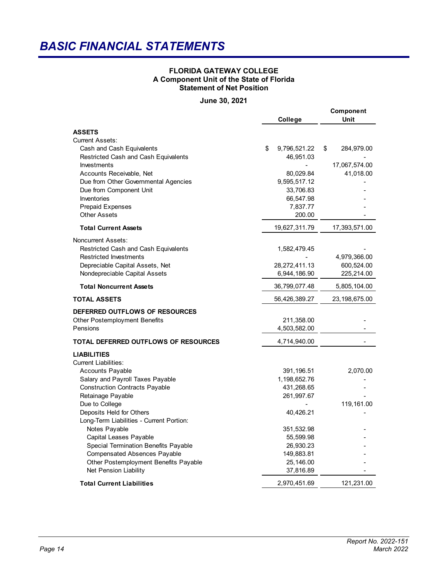## <span id="page-17-0"></span>*BASIC FINANCIAL STATEMENTS*

#### **FLORIDA GATEWAY COLLEGE A Component Unit of the State of Florida Statement of Net Position**

## **June 30, 2021**

|                                                   |                    | Component        |
|---------------------------------------------------|--------------------|------------------|
|                                                   | College            | Unit             |
| <b>ASSETS</b>                                     |                    |                  |
| <b>Current Assets:</b>                            |                    |                  |
| Cash and Cash Equivalents                         | \$<br>9,796,521.22 | \$<br>284,979.00 |
| Restricted Cash and Cash Equivalents              | 46,951.03          |                  |
| Investments                                       |                    | 17,067,574.00    |
| Accounts Receivable, Net                          | 80,029.84          | 41,018.00        |
| Due from Other Governmental Agencies              | 9,595,517.12       |                  |
| Due from Component Unit                           | 33,706.83          |                  |
| Inventories                                       | 66,547.98          |                  |
| <b>Prepaid Expenses</b>                           | 7,837.77           |                  |
| <b>Other Assets</b>                               | 200.00             |                  |
| <b>Total Current Assets</b>                       | 19,627,311.79      | 17,393,571.00    |
| Noncurrent Assets:                                |                    |                  |
| Restricted Cash and Cash Equivalents              | 1,582,479.45       |                  |
| <b>Restricted Investments</b>                     |                    | 4,979,366.00     |
| Depreciable Capital Assets, Net                   | 28,272,411.13      | 600,524.00       |
| Nondepreciable Capital Assets                     | 6,944,186.90       | 225,214.00       |
| <b>Total Noncurrent Assets</b>                    | 36,799,077.48      | 5,805,104.00     |
| <b>TOTAL ASSETS</b>                               | 56,426,389.27      | 23, 198, 675.00  |
| DEFERRED OUTFLOWS OF RESOURCES                    |                    |                  |
| Other Postemployment Benefits                     | 211,358.00         |                  |
| Pensions                                          | 4,503,582.00       |                  |
| TOTAL DEFERRED OUTFLOWS OF RESOURCES              | 4,714,940.00       |                  |
|                                                   |                    |                  |
| <b>LIABILITIES</b><br><b>Current Liabilities:</b> |                    |                  |
| <b>Accounts Payable</b>                           | 391,196.51         | 2,070.00         |
| Salary and Payroll Taxes Payable                  | 1,198,652.76       |                  |
| <b>Construction Contracts Payable</b>             | 431,268.65         |                  |
| Retainage Payable                                 | 261,997.67         |                  |
| Due to College                                    |                    | 119,161.00       |
| Deposits Held for Others                          | 40,426.21          |                  |
| Long-Term Liabilities - Current Portion:          |                    |                  |
| Notes Payable                                     | 351,532.98         |                  |
| Capital Leases Payable                            | 55,599.98          |                  |
| Special Termination Benefits Payable              | 26,930.23          |                  |
| <b>Compensated Absences Payable</b>               | 149,883.81         |                  |
| Other Postemployment Benefits Payable             | 25,146.00          |                  |
| Net Pension Liability                             | 37,816.89          |                  |
| <b>Total Current Liabilities</b>                  | 2,970,451.69       | 121,231.00       |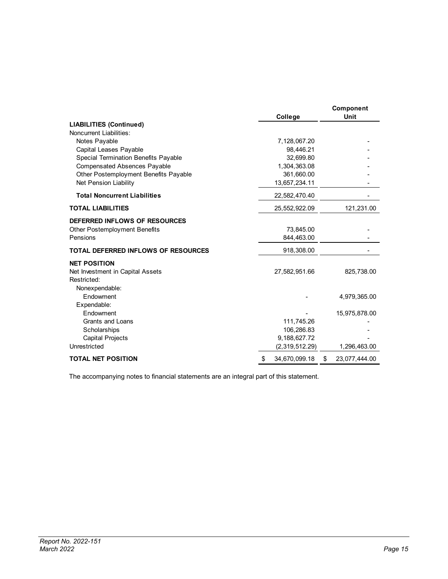|                                            |                     | Component           |
|--------------------------------------------|---------------------|---------------------|
|                                            | College             | <b>Unit</b>         |
| <b>LIABILITIES (Continued)</b>             |                     |                     |
| Noncurrent Liabilities:                    |                     |                     |
| Notes Payable                              | 7,128,067.20        |                     |
| Capital Leases Payable                     | 98,446.21           |                     |
| Special Termination Benefits Payable       | 32,699.80           |                     |
| <b>Compensated Absences Payable</b>        | 1,304,363.08        |                     |
| Other Postemployment Benefits Payable      | 361,660.00          |                     |
| Net Pension Liability                      | 13,657,234.11       |                     |
| <b>Total Noncurrent Liabilities</b>        | 22,582,470.40       |                     |
| <b>TOTAL LIABILITIES</b>                   | 25,552,922.09       | 121,231.00          |
| DEFERRED INFLOWS OF RESOURCES              |                     |                     |
| <b>Other Postemployment Benefits</b>       | 73,845.00           |                     |
| Pensions                                   | 844,463.00          |                     |
| <b>TOTAL DEFERRED INFLOWS OF RESOURCES</b> | 918,308.00          |                     |
| <b>NET POSITION</b>                        |                     |                     |
| Net Investment in Capital Assets           | 27,582,951.66       | 825,738.00          |
| Restricted:                                |                     |                     |
| Nonexpendable:                             |                     |                     |
| Endowment                                  |                     | 4,979,365.00        |
| Expendable:                                |                     |                     |
| Endowment                                  |                     | 15,975,878.00       |
| Grants and Loans                           | 111,745.26          |                     |
| Scholarships                               | 106,286.83          |                     |
| <b>Capital Projects</b>                    | 9,188,627.72        |                     |
| Unrestricted                               | (2,319,512.29)      | 1,296,463.00        |
| <b>TOTAL NET POSITION</b>                  | \$<br>34,670,099.18 | \$<br>23,077,444.00 |

The accompanying notes to financial statements are an integral part of this statement.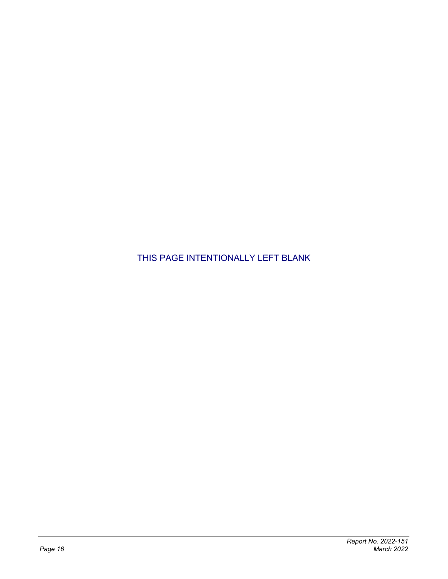THIS PAGE INTENTIONALLY LEFT BLANK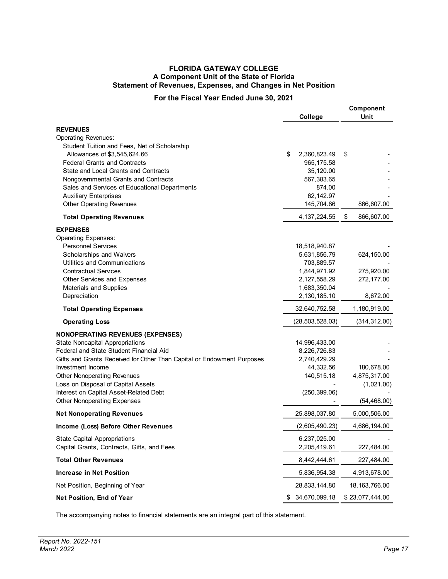#### **FLORIDA GATEWAY COLLEGE A Component Unit of the State of Florida Statement of Revenues, Expenses, and Changes in Net Position**

#### **For the Fiscal Year Ended June 30, 2021**

<span id="page-20-0"></span>

|                                                                                   | College                      | Component<br>Unit |
|-----------------------------------------------------------------------------------|------------------------------|-------------------|
| <b>REVENUES</b>                                                                   |                              |                   |
| <b>Operating Revenues:</b>                                                        |                              |                   |
| Student Tuition and Fees, Net of Scholarship<br>Allowances of \$3,545,624.66      | \$                           |                   |
| <b>Federal Grants and Contracts</b>                                               | 2,360,823.49<br>965, 175.58  | \$                |
| State and Local Grants and Contracts                                              | 35,120.00                    |                   |
| Nongovernmental Grants and Contracts                                              | 567,383.65                   |                   |
| Sales and Services of Educational Departments                                     | 874.00                       |                   |
| <b>Auxiliary Enterprises</b>                                                      | 62,142.97                    |                   |
| <b>Other Operating Revenues</b>                                                   | 145,704.86                   | 866,607.00        |
| <b>Total Operating Revenues</b>                                                   | 4, 137, 224.55               | \$<br>866,607.00  |
| <b>EXPENSES</b>                                                                   |                              |                   |
| <b>Operating Expenses:</b>                                                        |                              |                   |
| <b>Personnel Services</b>                                                         | 18,518,940.87                |                   |
| Scholarships and Waivers                                                          | 5,631,856.79                 | 624,150.00        |
| Utilities and Communications                                                      | 703,889.57                   |                   |
| <b>Contractual Services</b>                                                       | 1,844,971.92                 | 275,920.00        |
| Other Services and Expenses                                                       | 2, 127, 558.29               | 272,177.00        |
| <b>Materials and Supplies</b><br>Depreciation                                     | 1,683,350.04<br>2,130,185.10 | 8,672.00          |
|                                                                                   |                              |                   |
| <b>Total Operating Expenses</b>                                                   | 32,640,752.58                | 1,180,919.00      |
| <b>Operating Loss</b>                                                             | (28, 503, 528.03)            | (314, 312.00)     |
| <b>NONOPERATING REVENUES (EXPENSES)</b>                                           |                              |                   |
| <b>State Noncapital Appropriations</b>                                            | 14,996,433.00                |                   |
| Federal and State Student Financial Aid                                           | 8,226,726.83                 |                   |
| Gifts and Grants Received for Other Than Capital or Endowment Purposes            | 2,740,429.29                 |                   |
| Investment Income                                                                 | 44,332.56                    | 180,678.00        |
| <b>Other Nonoperating Revenues</b>                                                | 140,515.18                   | 4,875,317.00      |
| Loss on Disposal of Capital Assets                                                |                              | (1,021.00)        |
| Interest on Capital Asset-Related Debt<br><b>Other Nonoperating Expenses</b>      | (250, 399.06)                |                   |
|                                                                                   | 25,898,037.80                | (54, 468.00)      |
| <b>Net Nonoperating Revenues</b>                                                  |                              | 5,000,506.00      |
| Income (Loss) Before Other Revenues                                               | (2,605,490.23)               | 4,686,194.00      |
| <b>State Capital Appropriations</b><br>Capital Grants, Contracts, Gifts, and Fees | 6,237,025.00<br>2,205,419.61 | 227,484.00        |
|                                                                                   |                              |                   |
| <b>Total Other Revenues</b>                                                       | 8,442,444.61                 | 227,484.00        |
| <b>Increase in Net Position</b>                                                   | 5,836,954.38                 | 4,913,678.00      |
| Net Position, Beginning of Year                                                   | 28,833,144.80                | 18, 163, 766.00   |
| Net Position, End of Year                                                         | 34,670,099.18<br>\$          | \$23,077,444.00   |

The accompanying notes to financial statements are an integral part of this statement.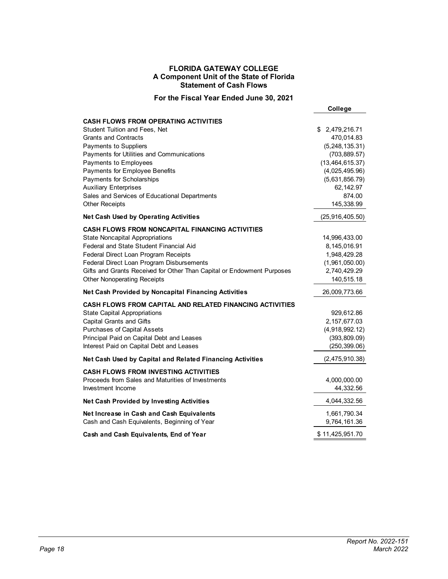#### **FLORIDA GATEWAY COLLEGE A Component Unit of the State of Florida Statement of Cash Flows**

**For the Fiscal Year Ended June 30, 2021** 

<span id="page-21-0"></span>

|                                                                                                                                                                                                                                                                                                                                                                                                   | College                                                                                                                                                       |
|---------------------------------------------------------------------------------------------------------------------------------------------------------------------------------------------------------------------------------------------------------------------------------------------------------------------------------------------------------------------------------------------------|---------------------------------------------------------------------------------------------------------------------------------------------------------------|
| <b>CASH FLOWS FROM OPERATING ACTIVITIES</b><br><b>Student Tuition and Fees, Net</b><br><b>Grants and Contracts</b><br><b>Payments to Suppliers</b><br>Payments for Utilities and Communications<br>Payments to Employees<br>Payments for Employee Benefits<br>Payments for Scholarships<br><b>Auxiliary Enterprises</b><br>Sales and Services of Educational Departments<br><b>Other Receipts</b> | \$2,479,216.71<br>470,014.83<br>(5,248,135.31)<br>(703, 889.57)<br>(13, 464, 615.37)<br>(4,025,495.96)<br>(5,631,856.79)<br>62,142.97<br>874.00<br>145,338.99 |
| <b>Net Cash Used by Operating Activities</b>                                                                                                                                                                                                                                                                                                                                                      | (25, 916, 405.50)                                                                                                                                             |
| <b>CASH FLOWS FROM NONCAPITAL FINANCING ACTIVITIES</b><br><b>State Noncapital Appropriations</b><br>Federal and State Student Financial Aid<br>Federal Direct Loan Program Receipts<br>Federal Direct Loan Program Disbursements<br>Gifts and Grants Received for Other Than Capital or Endowment Purposes<br><b>Other Nonoperating Receipts</b>                                                  | 14,996,433.00<br>8,145,016.91<br>1,948,429.28<br>(1,961,050.00)<br>2,740,429.29<br>140,515.18                                                                 |
| Net Cash Provided by Noncapital Financing Activities                                                                                                                                                                                                                                                                                                                                              | 26,009,773.66                                                                                                                                                 |
| <b>CASH FLOWS FROM CAPITAL AND RELATED FINANCING ACTIVITIES</b><br><b>State Capital Appropriations</b><br><b>Capital Grants and Gifts</b><br>Purchases of Capital Assets<br>Principal Paid on Capital Debt and Leases<br>Interest Paid on Capital Debt and Leases                                                                                                                                 | 929,612.86<br>2, 157, 677.03<br>(4,918,992.12)<br>(393, 809.09)<br>(250, 399.06)                                                                              |
| Net Cash Used by Capital and Related Financing Activities                                                                                                                                                                                                                                                                                                                                         | (2,475,910.38)                                                                                                                                                |
| <b>CASH FLOWS FROM INVESTING ACTIVITIES</b><br>Proceeds from Sales and Maturities of Investments<br>Investment Income                                                                                                                                                                                                                                                                             | 4,000,000.00<br>44,332.56                                                                                                                                     |
| <b>Net Cash Provided by Investing Activities</b>                                                                                                                                                                                                                                                                                                                                                  | 4,044,332.56                                                                                                                                                  |
| Net Increase in Cash and Cash Equivalents<br>Cash and Cash Equivalents, Beginning of Year                                                                                                                                                                                                                                                                                                         | 1,661,790.34<br>9,764,161.36                                                                                                                                  |
| Cash and Cash Equivalents, End of Year                                                                                                                                                                                                                                                                                                                                                            | \$11,425,951.70                                                                                                                                               |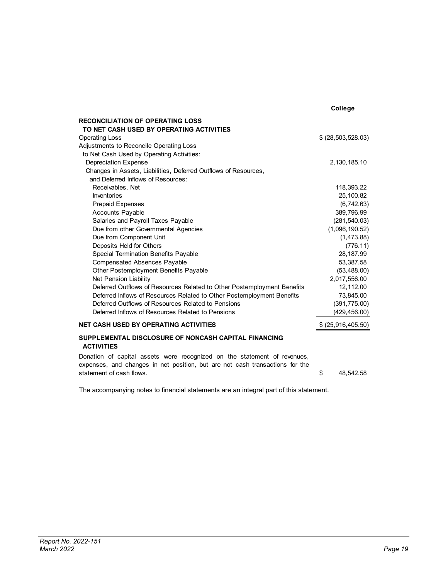|                                                                                                                                                                                      | College                      |
|--------------------------------------------------------------------------------------------------------------------------------------------------------------------------------------|------------------------------|
| <b>RECONCILIATION OF OPERATING LOSS</b>                                                                                                                                              |                              |
| TO NET CASH USED BY OPERATING ACTIVITIES                                                                                                                                             |                              |
| <b>Operating Loss</b>                                                                                                                                                                | \$ (28,503,528.03)           |
| Adjustments to Reconcile Operating Loss                                                                                                                                              |                              |
| to Net Cash Used by Operating Activities:                                                                                                                                            |                              |
| <b>Depreciation Expense</b>                                                                                                                                                          | 2,130,185.10                 |
| Changes in Assets, Liabilities, Deferred Outflows of Resources,                                                                                                                      |                              |
| and Deferred Inflows of Resources:                                                                                                                                                   |                              |
| Receivables, Net                                                                                                                                                                     | 118,393.22                   |
| Inventories                                                                                                                                                                          | 25,100.82                    |
| <b>Prepaid Expenses</b>                                                                                                                                                              | (6,742.63)                   |
| <b>Accounts Payable</b>                                                                                                                                                              | 389,796.99                   |
| Salaries and Payroll Taxes Payable                                                                                                                                                   | (281, 540.03)                |
| Due from other Governmental Agencies                                                                                                                                                 | (1,096,190.52)               |
| Due from Component Unit                                                                                                                                                              | (1,473.88)                   |
| Deposits Held for Others                                                                                                                                                             | (776.11)                     |
| <b>Special Termination Benefits Payable</b>                                                                                                                                          | 28, 187.99                   |
| <b>Compensated Absences Payable</b>                                                                                                                                                  | 53,387.58                    |
| Other Postemployment Benefits Payable<br><b>Net Pension Liability</b>                                                                                                                | (53, 488.00)<br>2,017,556.00 |
|                                                                                                                                                                                      | 12,112.00                    |
| Deferred Outflows of Resources Related to Other Postemployment Benefits<br>Deferred Inflows of Resources Related to Other Postemployment Benefits                                    | 73,845.00                    |
| Deferred Outflows of Resources Related to Pensions                                                                                                                                   | (391, 775.00)                |
| Deferred Inflows of Resources Related to Pensions                                                                                                                                    | (429, 456.00)                |
|                                                                                                                                                                                      |                              |
| <b>NET CASH USED BY OPERATING ACTIVITIES</b>                                                                                                                                         | $$$ (25,916,405.50)          |
| SUPPLEMENTAL DISCLOSURE OF NONCASH CAPITAL FINANCING<br><b>ACTIVITIES</b>                                                                                                            |                              |
| Donation of capital assets were recognized on the statement of revenues,<br>expenses, and changes in net position, but are not cash transactions for the<br>statement of cash flows. | \$<br>48,542.58              |
|                                                                                                                                                                                      |                              |

The accompanying notes to financial statements are an integral part of this statement.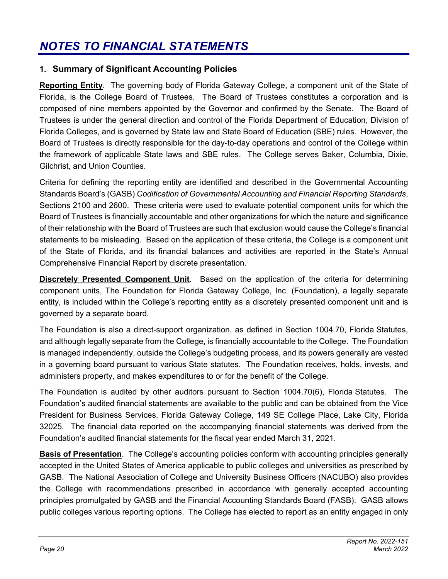## <span id="page-23-0"></span>*NOTES TO FINANCIAL STATEMENTS*

## **1. Summary of Significant Accounting Policies**

**Reporting Entity**. The governing body of Florida Gateway College, a component unit of the State of Florida, is the College Board of Trustees. The Board of Trustees constitutes a corporation and is composed of nine members appointed by the Governor and confirmed by the Senate. The Board of Trustees is under the general direction and control of the Florida Department of Education, Division of Florida Colleges, and is governed by State law and State Board of Education (SBE) rules. However, the Board of Trustees is directly responsible for the day-to-day operations and control of the College within the framework of applicable State laws and SBE rules. The College serves Baker, Columbia, Dixie, Gilchrist, and Union Counties.

Criteria for defining the reporting entity are identified and described in the Governmental Accounting Standards Board's (GASB) *Codification of Governmental Accounting and Financial Reporting Standards*, Sections 2100 and 2600. These criteria were used to evaluate potential component units for which the Board of Trustees is financially accountable and other organizations for which the nature and significance of their relationship with the Board of Trustees are such that exclusion would cause the College's financial statements to be misleading. Based on the application of these criteria, the College is a component unit of the State of Florida, and its financial balances and activities are reported in the State's Annual Comprehensive Financial Report by discrete presentation.

**Discretely Presented Component Unit**. Based on the application of the criteria for determining component units, The Foundation for Florida Gateway College, Inc. (Foundation), a legally separate entity, is included within the College's reporting entity as a discretely presented component unit and is governed by a separate board.

The Foundation is also a direct-support organization, as defined in Section 1004.70, Florida Statutes, and although legally separate from the College, is financially accountable to the College. The Foundation is managed independently, outside the College's budgeting process, and its powers generally are vested in a governing board pursuant to various State statutes. The Foundation receives, holds, invests, and administers property, and makes expenditures to or for the benefit of the College.

The Foundation is audited by other auditors pursuant to Section 1004.70(6), Florida Statutes. The Foundation's audited financial statements are available to the public and can be obtained from the Vice President for Business Services, Florida Gateway College, 149 SE College Place, Lake City, Florida 32025. The financial data reported on the accompanying financial statements was derived from the Foundation's audited financial statements for the fiscal year ended March 31, 2021.

**Basis of Presentation**. The College's accounting policies conform with accounting principles generally accepted in the United States of America applicable to public colleges and universities as prescribed by GASB. The National Association of College and University Business Officers (NACUBO) also provides the College with recommendations prescribed in accordance with generally accepted accounting principles promulgated by GASB and the Financial Accounting Standards Board (FASB). GASB allows public colleges various reporting options. The College has elected to report as an entity engaged in only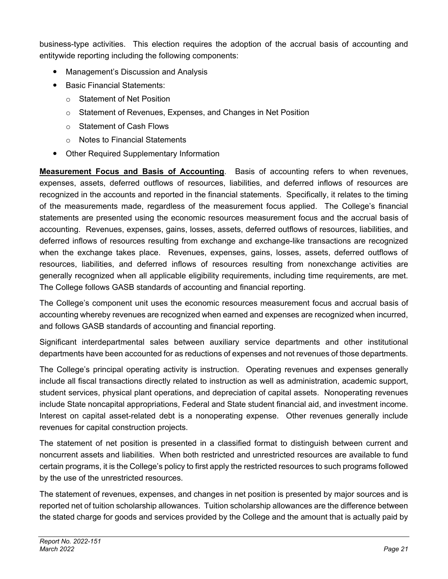business-type activities. This election requires the adoption of the accrual basis of accounting and entitywide reporting including the following components:

- Management's Discussion and Analysis
- Basic Financial Statements:
	- o Statement of Net Position
	- o Statement of Revenues, Expenses, and Changes in Net Position
	- o Statement of Cash Flows
	- o Notes to Financial Statements
- Other Required Supplementary Information

**Measurement Focus and Basis of Accounting**. Basis of accounting refers to when revenues, expenses, assets, deferred outflows of resources, liabilities, and deferred inflows of resources are recognized in the accounts and reported in the financial statements. Specifically, it relates to the timing of the measurements made, regardless of the measurement focus applied. The College's financial statements are presented using the economic resources measurement focus and the accrual basis of accounting. Revenues, expenses, gains, losses, assets, deferred outflows of resources, liabilities, and deferred inflows of resources resulting from exchange and exchange-like transactions are recognized when the exchange takes place. Revenues, expenses, gains, losses, assets, deferred outflows of resources, liabilities, and deferred inflows of resources resulting from nonexchange activities are generally recognized when all applicable eligibility requirements, including time requirements, are met. The College follows GASB standards of accounting and financial reporting.

The College's component unit uses the economic resources measurement focus and accrual basis of accounting whereby revenues are recognized when earned and expenses are recognized when incurred, and follows GASB standards of accounting and financial reporting.

Significant interdepartmental sales between auxiliary service departments and other institutional departments have been accounted for as reductions of expenses and not revenues of those departments.

The College's principal operating activity is instruction. Operating revenues and expenses generally include all fiscal transactions directly related to instruction as well as administration, academic support, student services, physical plant operations, and depreciation of capital assets. Nonoperating revenues include State noncapital appropriations, Federal and State student financial aid, and investment income. Interest on capital asset-related debt is a nonoperating expense. Other revenues generally include revenues for capital construction projects.

The statement of net position is presented in a classified format to distinguish between current and noncurrent assets and liabilities. When both restricted and unrestricted resources are available to fund certain programs, it is the College's policy to first apply the restricted resources to such programs followed by the use of the unrestricted resources.

The statement of revenues, expenses, and changes in net position is presented by major sources and is reported net of tuition scholarship allowances. Tuition scholarship allowances are the difference between the stated charge for goods and services provided by the College and the amount that is actually paid by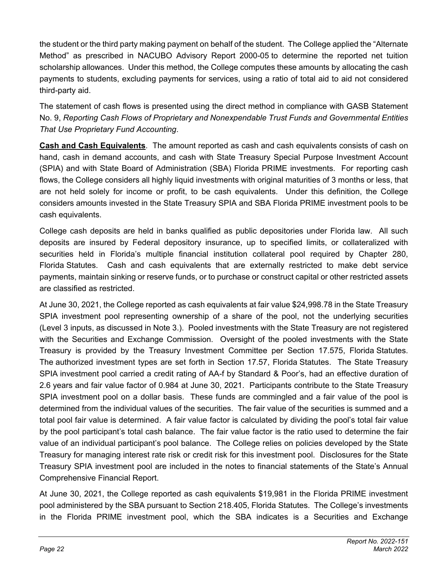the student or the third party making payment on behalf of the student. The College applied the "Alternate Method" as prescribed in NACUBO Advisory Report 2000-05 to determine the reported net tuition scholarship allowances. Under this method, the College computes these amounts by allocating the cash payments to students, excluding payments for services, using a ratio of total aid to aid not considered third-party aid.

The statement of cash flows is presented using the direct method in compliance with GASB Statement No. 9, *Reporting Cash Flows of Proprietary and Nonexpendable Trust Funds and Governmental Entities That Use Proprietary Fund Accounting*.

**Cash and Cash Equivalents**. The amount reported as cash and cash equivalents consists of cash on hand, cash in demand accounts, and cash with State Treasury Special Purpose Investment Account (SPIA) and with State Board of Administration (SBA) Florida PRIME investments. For reporting cash flows, the College considers all highly liquid investments with original maturities of 3 months or less, that are not held solely for income or profit, to be cash equivalents. Under this definition, the College considers amounts invested in the State Treasury SPIA and SBA Florida PRIME investment pools to be cash equivalents.

College cash deposits are held in banks qualified as public depositories under Florida law. All such deposits are insured by Federal depository insurance, up to specified limits, or collateralized with securities held in Florida's multiple financial institution collateral pool required by Chapter 280, Florida Statutes. Cash and cash equivalents that are externally restricted to make debt service payments, maintain sinking or reserve funds, or to purchase or construct capital or other restricted assets are classified as restricted.

At June 30, 2021, the College reported as cash equivalents at fair value \$24,998.78 in the State Treasury SPIA investment pool representing ownership of a share of the pool, not the underlying securities (Level 3 inputs, as discussed in Note 3.). Pooled investments with the State Treasury are not registered with the Securities and Exchange Commission. Oversight of the pooled investments with the State Treasury is provided by the Treasury Investment Committee per Section 17.575, Florida Statutes. The authorized investment types are set forth in Section 17.57, Florida Statutes. The State Treasury SPIA investment pool carried a credit rating of AA-f by Standard & Poor's, had an effective duration of 2.6 years and fair value factor of 0.984 at June 30, 2021. Participants contribute to the State Treasury SPIA investment pool on a dollar basis. These funds are commingled and a fair value of the pool is determined from the individual values of the securities. The fair value of the securities is summed and a total pool fair value is determined. A fair value factor is calculated by dividing the pool's total fair value by the pool participant's total cash balance. The fair value factor is the ratio used to determine the fair value of an individual participant's pool balance. The College relies on policies developed by the State Treasury for managing interest rate risk or credit risk for this investment pool. Disclosures for the State Treasury SPIA investment pool are included in the notes to financial statements of the State's Annual Comprehensive Financial Report.

At June 30, 2021, the College reported as cash equivalents \$19,981 in the Florida PRIME investment pool administered by the SBA pursuant to Section 218.405, Florida Statutes. The College's investments in the Florida PRIME investment pool, which the SBA indicates is a Securities and Exchange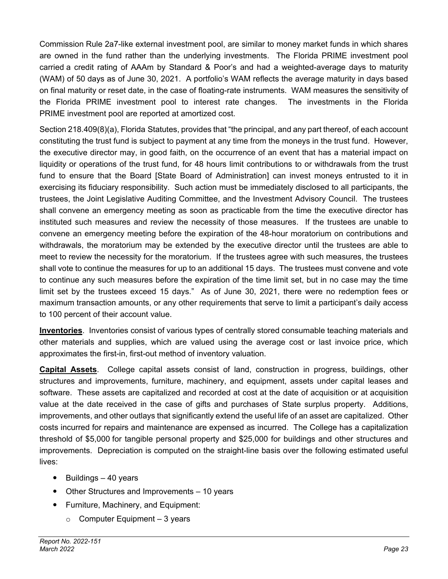Commission Rule 2a7-like external investment pool, are similar to money market funds in which shares are owned in the fund rather than the underlying investments. The Florida PRIME investment pool carried a credit rating of AAAm by Standard & Poor's and had a weighted-average days to maturity (WAM) of 50 days as of June 30, 2021. A portfolio's WAM reflects the average maturity in days based on final maturity or reset date, in the case of floating-rate instruments. WAM measures the sensitivity of the Florida PRIME investment pool to interest rate changes. The investments in the Florida PRIME investment pool are reported at amortized cost.

Section 218.409(8)(a), Florida Statutes, provides that "the principal, and any part thereof, of each account constituting the trust fund is subject to payment at any time from the moneys in the trust fund. However, the executive director may, in good faith, on the occurrence of an event that has a material impact on liquidity or operations of the trust fund, for 48 hours limit contributions to or withdrawals from the trust fund to ensure that the Board [State Board of Administration] can invest moneys entrusted to it in exercising its fiduciary responsibility. Such action must be immediately disclosed to all participants, the trustees, the Joint Legislative Auditing Committee, and the Investment Advisory Council. The trustees shall convene an emergency meeting as soon as practicable from the time the executive director has instituted such measures and review the necessity of those measures. If the trustees are unable to convene an emergency meeting before the expiration of the 48-hour moratorium on contributions and withdrawals, the moratorium may be extended by the executive director until the trustees are able to meet to review the necessity for the moratorium. If the trustees agree with such measures, the trustees shall vote to continue the measures for up to an additional 15 days. The trustees must convene and vote to continue any such measures before the expiration of the time limit set, but in no case may the time limit set by the trustees exceed 15 days." As of June 30, 2021, there were no redemption fees or maximum transaction amounts, or any other requirements that serve to limit a participant's daily access to 100 percent of their account value.

**Inventories**. Inventories consist of various types of centrally stored consumable teaching materials and other materials and supplies, which are valued using the average cost or last invoice price, which approximates the first-in, first-out method of inventory valuation.

**Capital Assets**. College capital assets consist of land, construction in progress, buildings, other structures and improvements, furniture, machinery, and equipment, assets under capital leases and software. These assets are capitalized and recorded at cost at the date of acquisition or at acquisition value at the date received in the case of gifts and purchases of State surplus property. Additions, improvements, and other outlays that significantly extend the useful life of an asset are capitalized. Other costs incurred for repairs and maintenance are expensed as incurred. The College has a capitalization threshold of \$5,000 for tangible personal property and \$25,000 for buildings and other structures and improvements. Depreciation is computed on the straight-line basis over the following estimated useful lives:

- $\bullet$  Buildings  $-$  40 years
- Other Structures and Improvements 10 years
- Furniture, Machinery, and Equipment:
	- $\circ$  Computer Equipment 3 years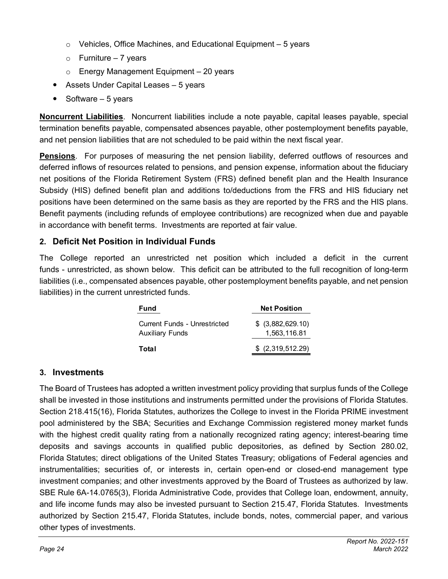- $\circ$  Vehicles, Office Machines, and Educational Equipment 5 years
- $\circ$  Furniture 7 years
- o Energy Management Equipment 20 years
- Assets Under Capital Leases 5 years
- Software  $-5$  years

**Noncurrent Liabilities**. Noncurrent liabilities include a note payable, capital leases payable, special termination benefits payable, compensated absences payable, other postemployment benefits payable, and net pension liabilities that are not scheduled to be paid within the next fiscal year.

**Pensions**. For purposes of measuring the net pension liability, deferred outflows of resources and deferred inflows of resources related to pensions, and pension expense, information about the fiduciary net positions of the Florida Retirement System (FRS) defined benefit plan and the Health Insurance Subsidy (HIS) defined benefit plan and additions to/deductions from the FRS and HIS fiduciary net positions have been determined on the same basis as they are reported by the FRS and the HIS plans. Benefit payments (including refunds of employee contributions) are recognized when due and payable in accordance with benefit terms. Investments are reported at fair value.

## **2. Deficit Net Position in Individual Funds**

The College reported an unrestricted net position which included a deficit in the current funds - unrestricted, as shown below. This deficit can be attributed to the full recognition of long-term liabilities (i.e., compensated absences payable, other postemployment benefits payable, and net pension liabilities) in the current unrestricted funds.

| Fund                                                          | <b>Net Position</b>                  |
|---------------------------------------------------------------|--------------------------------------|
| <b>Current Funds - Unrestricted</b><br><b>Auxiliary Funds</b> | $$$ $(3,882,629.10)$<br>1,563,116.81 |
| Total                                                         | $$$ (2,319,512.29)                   |

## **3. Investments**

The Board of Trustees has adopted a written investment policy providing that surplus funds of the College shall be invested in those institutions and instruments permitted under the provisions of Florida Statutes. Section 218.415(16), Florida Statutes, authorizes the College to invest in the Florida PRIME investment pool administered by the SBA; Securities and Exchange Commission registered money market funds with the highest credit quality rating from a nationally recognized rating agency; interest-bearing time deposits and savings accounts in qualified public depositories, as defined by Section 280.02, Florida Statutes; direct obligations of the United States Treasury; obligations of Federal agencies and instrumentalities; securities of, or interests in, certain open-end or closed-end management type investment companies; and other investments approved by the Board of Trustees as authorized by law. SBE Rule 6A-14.0765(3), Florida Administrative Code, provides that College loan, endowment, annuity, and life income funds may also be invested pursuant to Section 215.47, Florida Statutes. Investments authorized by Section 215.47, Florida Statutes, include bonds, notes, commercial paper, and various other types of investments.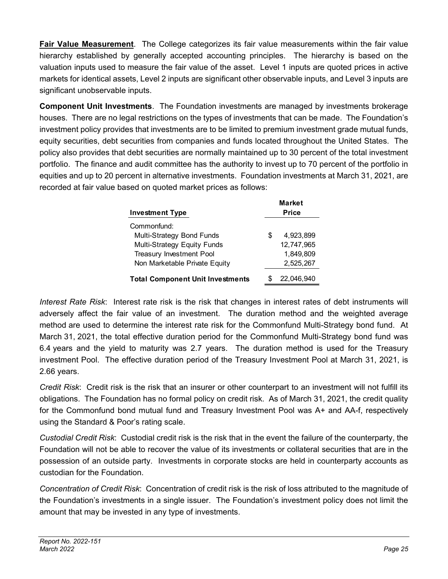**Fair Value Measurement**. The College categorizes its fair value measurements within the fair value hierarchy established by generally accepted accounting principles. The hierarchy is based on the valuation inputs used to measure the fair value of the asset. Level 1 inputs are quoted prices in active markets for identical assets, Level 2 inputs are significant other observable inputs, and Level 3 inputs are significant unobservable inputs.

**Component Unit Investments**. The Foundation investments are managed by investments brokerage houses. There are no legal restrictions on the types of investments that can be made. The Foundation's investment policy provides that investments are to be limited to premium investment grade mutual funds, equity securities, debt securities from companies and funds located throughout the United States. The policy also provides that debt securities are normally maintained up to 30 percent of the total investment portfolio. The finance and audit committee has the authority to invest up to 70 percent of the portfolio in equities and up to 20 percent in alternative investments. Foundation investments at March 31, 2021, are recorded at fair value based on quoted market prices as follows:

| <b>Investment Type</b>                  | <b>Market</b><br><b>Price</b> |
|-----------------------------------------|-------------------------------|
| Commonfund:                             |                               |
| Multi-Strategy Bond Funds               | \$<br>4.923.899               |
| Multi-Strategy Equity Funds             | 12,747,965                    |
| <b>Treasury Investment Pool</b>         | 1,849,809                     |
| Non Marketable Private Equity           | 2,525,267                     |
| <b>Total Component Unit Investments</b> | 22,046,940                    |

*Interest Rate Risk*: Interest rate risk is the risk that changes in interest rates of debt instruments will adversely affect the fair value of an investment. The duration method and the weighted average method are used to determine the interest rate risk for the Commonfund Multi-Strategy bond fund. At March 31, 2021, the total effective duration period for the Commonfund Multi-Strategy bond fund was 6.4 years and the yield to maturity was 2.7 years. The duration method is used for the Treasury investment Pool. The effective duration period of the Treasury Investment Pool at March 31, 2021, is 2.66 years.

*Credit Risk*:Credit risk is the risk that an insurer or other counterpart to an investment will not fulfill its obligations. The Foundation has no formal policy on credit risk. As of March 31, 2021, the credit quality for the Commonfund bond mutual fund and Treasury Investment Pool was A+ and AA-f, respectively using the Standard & Poor's rating scale.

*Custodial Credit Risk*: Custodial credit risk is the risk that in the event the failure of the counterparty, the Foundation will not be able to recover the value of its investments or collateral securities that are in the possession of an outside party. Investments in corporate stocks are held in counterparty accounts as custodian for the Foundation.

*Concentration of Credit Risk*:Concentration of credit risk is the risk of loss attributed to the magnitude of the Foundation's investments in a single issuer. The Foundation's investment policy does not limit the amount that may be invested in any type of investments.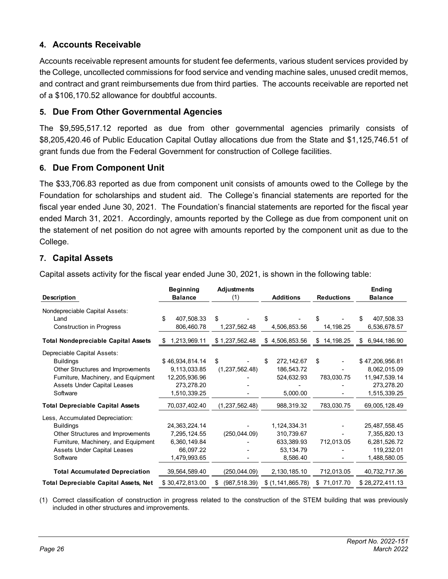## **4. Accounts Receivable**

Accounts receivable represent amounts for student fee deferments, various student services provided by the College, uncollected commissions for food service and vending machine sales, unused credit memos, and contract and grant reimbursements due from third parties. The accounts receivable are reported net of a \$106,170.52 allowance for doubtful accounts.

## **5. Due From Other Governmental Agencies**

The \$9,595,517.12 reported as due from other governmental agencies primarily consists of \$8,205,420.46 of Public Education Capital Outlay allocations due from the State and \$1,125,746.51 of grant funds due from the Federal Government for construction of College facilities.

## **6. Due From Component Unit**

The \$33,706.83 reported as due from component unit consists of amounts owed to the College by the Foundation for scholarships and student aid. The College's financial statements are reported for the fiscal year ended June 30, 2021. The Foundation's financial statements are reported for the fiscal year ended March 31, 2021. Accordingly, amounts reported by the College as due from component unit on the statement of net position do not agree with amounts reported by the component unit as due to the College.

## **7. Capital Assets**

| <b>Description</b>                           | <b>Beginning</b><br><b>Balance</b> | <b>Adjustments</b><br>(1) | <b>Additions</b>   | <b>Reductions</b> | <b>Ending</b><br><b>Balance</b> |
|----------------------------------------------|------------------------------------|---------------------------|--------------------|-------------------|---------------------------------|
| Nondepreciable Capital Assets:               |                                    |                           |                    |                   |                                 |
| Land                                         | \$.<br>407,508.33                  | \$                        | \$                 | \$                | 407,508.33<br>S                 |
| <b>Construction in Progress</b>              | 806,460.78                         | 1,237,562.48              | 4,506,853.56       | 14, 198. 25       | 6,536,678.57                    |
| <b>Total Nondepreciable Capital Assets</b>   | 1,213,969.11<br>S                  | \$1,237,562.48            | \$4,506,853.56     | \$14,198.25       | 6,944,186.90<br>\$              |
| Depreciable Capital Assets:                  |                                    |                           |                    |                   |                                 |
| <b>Buildings</b>                             | \$46,934,814.14                    | \$                        | \$<br>272, 142.67  | \$                | \$47,206,956.81                 |
| Other Structures and Improvements            | 9,113,033.85                       | (1,237,562.48)            | 186,543.72         |                   | 8,062,015.09                    |
| Furniture, Machinery, and Equipment          | 12,205,936.96                      |                           | 524,632.93         | 783,030.75        | 11,947,539.14                   |
| <b>Assets Under Capital Leases</b>           | 273,278.20                         |                           |                    |                   | 273,278.20                      |
| Software                                     | 1,510,339.25                       |                           | 5,000.00           |                   | 1,515,339.25                    |
| <b>Total Depreciable Capital Assets</b>      | 70,037,402.40                      | (1, 237, 562.48)          | 988,319.32         | 783,030.75        | 69,005,128.49                   |
| Less, Accumulated Depreciation:              |                                    |                           |                    |                   |                                 |
| <b>Buildings</b>                             | 24, 363, 224, 14                   |                           | 1,124,334.31       |                   | 25,487,558.45                   |
| Other Structures and Improvements            | 7,295,124.55                       | (250, 044.09)             | 310,739.67         |                   | 7,355,820.13                    |
| Furniture, Machinery, and Equipment          | 6,360,149.84                       |                           | 633,389.93         | 712,013.05        | 6,281,526.72                    |
| <b>Assets Under Capital Leases</b>           | 66,097.22                          |                           | 53, 134. 79        |                   | 119,232.01                      |
| Software                                     | 1,479,993.65                       |                           | 8,586.40           |                   | 1,488,580.05                    |
| <b>Total Accumulated Depreciation</b>        | 39,564,589.40                      | (250, 044.09)             | 2, 130, 185. 10    | 712,013.05        | 40,732,717.36                   |
| <b>Total Depreciable Capital Assets, Net</b> | \$30,472,813.00                    | (987, 518.39)<br>\$       | \$(1, 141, 865.78) | \$71,017.70       | \$28,272,411.13                 |

Capital assets activity for the fiscal year ended June 30, 2021, is shown in the following table:

(1) Correct classification of construction in progress related to the construction of the STEM building that was previously included in other structures and improvements.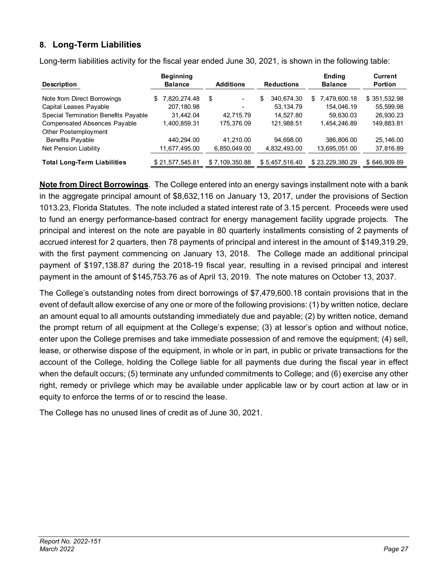## **8. Long-Term Liabilities**

|                                             | <b>Beginning</b>  |                  |                   | <b>Ending</b>       | <b>Current</b> |
|---------------------------------------------|-------------------|------------------|-------------------|---------------------|----------------|
| <b>Description</b>                          | <b>Balance</b>    | <b>Additions</b> | <b>Reductions</b> | <b>Balance</b>      | <b>Portion</b> |
| Note from Direct Borrowings                 | 7,820,274.48<br>S | S                | 340,674.30<br>S   | 7,479,600.18<br>\$. | \$351,532.98   |
| Capital Leases Payable                      | 207.180.98        | -                | 53, 134. 79       | 154.046.19          | 55,599.98      |
| <b>Special Termination Benefits Payable</b> | 31.442.04         | 42.715.79        | 14.527.80         | 59.630.03           | 26,930.23      |
| <b>Compensated Absences Payable</b>         | 1,400,859.31      | 175.376.09       | 121,988.51        | 1.454.246.89        | 149,883.81     |
| Other Postemployment                        |                   |                  |                   |                     |                |
| <b>Benefits Payable</b>                     | 440.294.00        | 41.210.00        | 94,698.00         | 386,806.00          | 25,146.00      |
| Net Pension Liability                       | 11,677,495.00     | 6,850,049.00     | 4,832,493.00      | 13,695,051.00       | 37,816.89      |
| <b>Total Long-Term Liabilities</b>          | \$21,577,545.81   | \$7,109,350.88   | \$5,457,516.40    | \$23,229,380.29     | \$646,909.89   |

Long-term liabilities activity for the fiscal year ended June 30, 2021, is shown in the following table:

**Note from Direct Borrowings**. The College entered into an energy savings installment note with a bank in the aggregate principal amount of \$8,632,116 on January 13, 2017, under the provisions of Section 1013.23, Florida Statutes. The note included a stated interest rate of 3.15 percent. Proceeds were used to fund an energy performance-based contract for energy management facility upgrade projects. The principal and interest on the note are payable in 80 quarterly installments consisting of 2 payments of accrued interest for 2 quarters, then 78 payments of principal and interest in the amount of \$149,319.29, with the first payment commencing on January 13, 2018. The College made an additional principal payment of \$197,138.87 during the 2018-19 fiscal year, resulting in a revised principal and interest payment in the amount of \$145,753.76 as of April 13, 2019. The note matures on October 13, 2037.

The College's outstanding notes from direct borrowings of \$7,479,600.18 contain provisions that in the event of default allow exercise of any one or more of the following provisions: (1) by written notice, declare an amount equal to all amounts outstanding immediately due and payable; (2) by written notice, demand the prompt return of all equipment at the College's expense; (3) at lessor's option and without notice, enter upon the College premises and take immediate possession of and remove the equipment; (4) sell, lease, or otherwise dispose of the equipment, in whole or in part, in public or private transactions for the account of the College, holding the College liable for all payments due during the fiscal year in effect when the default occurs; (5) terminate any unfunded commitments to College; and (6) exercise any other right, remedy or privilege which may be available under applicable law or by court action at law or in equity to enforce the terms of or to rescind the lease.

The College has no unused lines of credit as of June 30, 2021.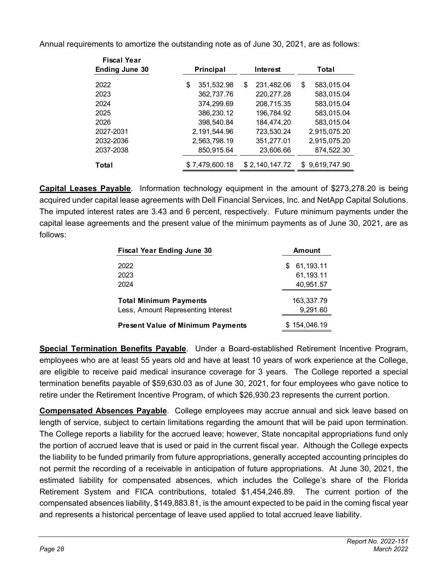| rı scal rear<br><b>Ending June 30</b> | <b>Principal</b><br>Interest |                  | Total            |
|---------------------------------------|------------------------------|------------------|------------------|
| 2022                                  | 351,532.98<br>\$             | 231,482.06<br>\$ | 583,015.04<br>\$ |
| 2023                                  | 362,737.76                   | 220, 277. 28     | 583,015.04       |
| 2024                                  | 374,299.69                   | 208,715.35       | 583,015.04       |
| 2025                                  | 386,230.12                   | 196,784.92       | 583,015.04       |
| 2026                                  | 398,540.84                   | 184,474.20       | 583,015.04       |
| 2027-2031                             | 2,191,544.96                 | 723,530.24       | 2,915,075.20     |
| 2032-2036                             | 2,563,798.19                 | 351,277.01       | 2,915,075.20     |
| 2037-2038                             | 850,915.64                   | 23,606.66        | 874,522.30       |
| Total                                 | \$7,479,600.18               | \$2,140,147.72   | \$9,619,747.90   |

Annual requirements to amortize the outstanding note as of June 30, 2021, are as follows:

**Fiscal Year**

**Capital Leases Payable**. Information technology equipment in the amount of \$273,278.20 is being acquired under capital lease agreements with Dell Financial Services, Inc. and NetApp Capital Solutions. The imputed interest rates are 3.43 and 6 percent, respectively. Future minimum payments under the capital lease agreements and the present value of the minimum payments as of June 30, 2021, are as follows:

| <b>Fiscal Year Ending June 30</b>        | <b>Amount</b>  |
|------------------------------------------|----------------|
| 2022                                     | 61,193.11<br>S |
| 2023                                     | 61,193.11      |
| 2024                                     | 40,951.57      |
| <b>Total Minimum Payments</b>            | 163,337.79     |
| Less, Amount Representing Interest       | 9,291.60       |
| <b>Present Value of Minimum Payments</b> | \$154,046,19   |

**Special Termination Benefits Payable**. Under a Board-established Retirement Incentive Program, employees who are at least 55 years old and have at least 10 years of work experience at the College, are eligible to receive paid medical insurance coverage for 3 years. The College reported a special termination benefits payable of \$59,630.03 as of June 30, 2021, for four employees who gave notice to retire under the Retirement Incentive Program, of which \$26,930.23 represents the current portion.

**Compensated Absences Payable**. College employees may accrue annual and sick leave based on length of service, subject to certain limitations regarding the amount that will be paid upon termination. The College reports a liability for the accrued leave; however, State noncapital appropriations fund only the portion of accrued leave that is used or paid in the current fiscal year. Although the College expects the liability to be funded primarily from future appropriations, generally accepted accounting principles do not permit the recording of a receivable in anticipation of future appropriations. At June 30, 2021, the estimated liability for compensated absences, which includes the College's share of the Florida Retirement System and FICA contributions, totaled \$1,454,246.89. The current portion of the compensated absences liability, \$149,883.81, is the amount expected to be paid in the coming fiscal year and represents a historical percentage of leave used applied to total accrued leave liability.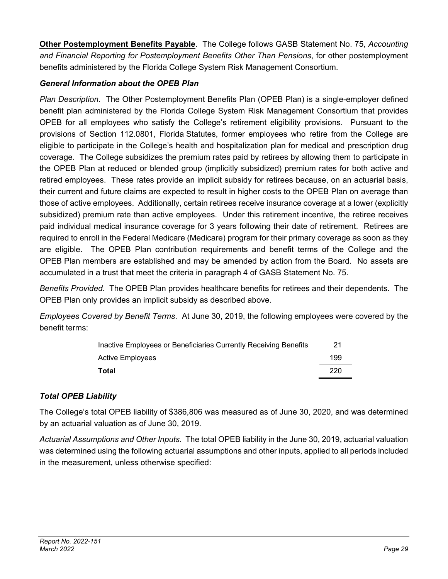**Other Postemployment Benefits Payable**. The College follows GASB Statement No. 75, *Accounting and Financial Reporting for Postemployment Benefits Other Than Pensions*, for other postemployment benefits administered by the Florida College System Risk Management Consortium.

## *General Information about the OPEB Plan*

*Plan Description*. The Other Postemployment Benefits Plan (OPEB Plan) is a single-employer defined benefit plan administered by the Florida College System Risk Management Consortium that provides OPEB for all employees who satisfy the College's retirement eligibility provisions. Pursuant to the provisions of Section 112.0801, Florida Statutes, former employees who retire from the College are eligible to participate in the College's health and hospitalization plan for medical and prescription drug coverage. The College subsidizes the premium rates paid by retirees by allowing them to participate in the OPEB Plan at reduced or blended group (implicitly subsidized) premium rates for both active and retired employees. These rates provide an implicit subsidy for retirees because, on an actuarial basis, their current and future claims are expected to result in higher costs to the OPEB Plan on average than those of active employees. Additionally, certain retirees receive insurance coverage at a lower (explicitly subsidized) premium rate than active employees. Under this retirement incentive, the retiree receives paid individual medical insurance coverage for 3 years following their date of retirement. Retirees are required to enroll in the Federal Medicare (Medicare) program for their primary coverage as soon as they are eligible. The OPEB Plan contribution requirements and benefit terms of the College and the OPEB Plan members are established and may be amended by action from the Board. No assets are accumulated in a trust that meet the criteria in paragraph 4 of GASB Statement No. 75.

*Benefits Provided*. The OPEB Plan provides healthcare benefits for retirees and their dependents. The OPEB Plan only provides an implicit subsidy as described above.

*Employees Covered by Benefit Terms*. At June 30, 2019, the following employees were covered by the benefit terms:

| Inactive Employees or Beneficiaries Currently Receiving Benefits | 21  |
|------------------------------------------------------------------|-----|
| Active Employees                                                 | 199 |
| Total                                                            | 220 |
|                                                                  |     |

## *Total OPEB Liability*

The College's total OPEB liability of \$386,806 was measured as of June 30, 2020, and was determined by an actuarial valuation as of June 30, 2019.

*Actuarial Assumptions and Other Inputs*. The total OPEB liability in the June 30, 2019, actuarial valuation was determined using the following actuarial assumptions and other inputs, applied to all periods included in the measurement, unless otherwise specified: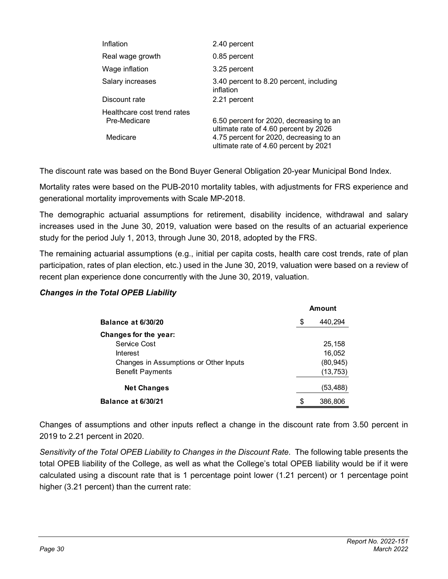| Inflation                                               | 2.40 percent                                                                                                                                                         |
|---------------------------------------------------------|----------------------------------------------------------------------------------------------------------------------------------------------------------------------|
| Real wage growth                                        | 0.85 percent                                                                                                                                                         |
| Wage inflation                                          | 3.25 percent                                                                                                                                                         |
| Salary increases                                        | 3.40 percent to 8.20 percent, including<br>inflation                                                                                                                 |
| Discount rate                                           | 2.21 percent                                                                                                                                                         |
| Healthcare cost trend rates<br>Pre-Medicare<br>Medicare | 6.50 percent for 2020, decreasing to an<br>ultimate rate of 4.60 percent by 2026<br>4.75 percent for 2020, decreasing to an<br>ultimate rate of 4.60 percent by 2021 |

The discount rate was based on the Bond Buyer General Obligation 20-year Municipal Bond Index.

Mortality rates were based on the PUB-2010 mortality tables, with adjustments for FRS experience and generational mortality improvements with Scale MP-2018.

The demographic actuarial assumptions for retirement, disability incidence, withdrawal and salary increases used in the June 30, 2019, valuation were based on the results of an actuarial experience study for the period July 1, 2013, through June 30, 2018, adopted by the FRS.

The remaining actuarial assumptions (e.g., initial per capita costs, health care cost trends, rate of plan participation, rates of plan election, etc.) used in the June 30, 2019, valuation were based on a review of recent plan experience done concurrently with the June 30, 2019, valuation.

|                                        |    | Amount    |
|----------------------------------------|----|-----------|
| Balance at 6/30/20                     | S  | 440,294   |
| Changes for the year:                  |    |           |
| Service Cost                           |    | 25,158    |
| Interest                               |    | 16,052    |
| Changes in Assumptions or Other Inputs |    | (80, 945) |
| <b>Benefit Payments</b>                |    | (13, 753) |
| <b>Net Changes</b>                     |    | (53,488)  |
| Balance at 6/30/21                     | \$ | 386,806   |

#### *Changes in the Total OPEB Liability*

Changes of assumptions and other inputs reflect a change in the discount rate from 3.50 percent in 2019 to 2.21 percent in 2020.

*Sensitivity of the Total OPEB Liability to Changes in the Discount Rate*. The following table presents the total OPEB liability of the College, as well as what the College's total OPEB liability would be if it were calculated using a discount rate that is 1 percentage point lower (1.21 percent) or 1 percentage point higher (3.21 percent) than the current rate: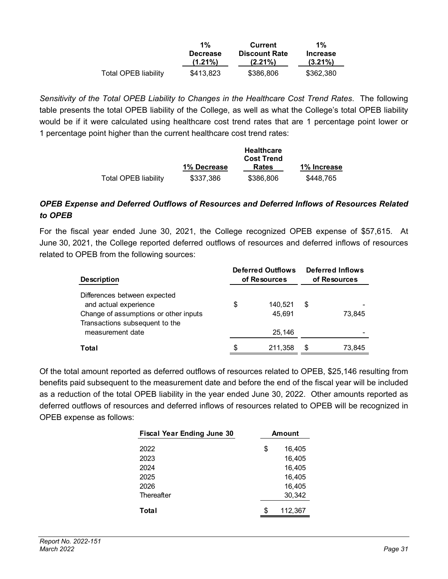|                      | $1\%$           | Current              | $1\%$           |
|----------------------|-----------------|----------------------|-----------------|
|                      | <b>Decrease</b> | <b>Discount Rate</b> | <b>Increase</b> |
|                      | $(1.21\%)$      | $(2.21\%)$           | $(3.21\%)$      |
| Total OPEB liability | \$413.823       | \$386,806            | \$362,380       |

*Sensitivity of the Total OPEB Liability to Changes in the Healthcare Cost Trend Rates*. The following table presents the total OPEB liability of the College, as well as what the College's total OPEB liability would be if it were calculated using healthcare cost trend rates that are 1 percentage point lower or 1 percentage point higher than the current healthcare cost trend rates:

|                      |             | <b>Healthcare</b><br><b>Cost Trend</b> |             |
|----------------------|-------------|----------------------------------------|-------------|
|                      | 1% Decrease | <b>Rates</b>                           | 1% Increase |
| Total OPEB liability | \$337.386   | \$386.806                              | \$448.765   |

## *OPEB Expense and Deferred Outflows of Resources and Deferred Inflows of Resources Related to OPEB*

For the fiscal year ended June 30, 2021, the College recognized OPEB expense of \$57,615. At June 30, 2021, the College reported deferred outflows of resources and deferred inflows of resources related to OPEB from the following sources:

| <b>Description</b>                                                                                                                                   | <b>Deferred Outflows</b><br>of Resources |    | <b>Deferred Inflows</b><br>of Resources |  |
|------------------------------------------------------------------------------------------------------------------------------------------------------|------------------------------------------|----|-----------------------------------------|--|
| Differences between expected<br>and actual experience<br>Change of assumptions or other inputs<br>Transactions subsequent to the<br>measurement date | \$<br>140,521<br>45,691<br>25,146        | \$ | 73,845                                  |  |
| Total                                                                                                                                                | \$<br>211,358                            | S  | 73.845                                  |  |

Of the total amount reported as deferred outflows of resources related to OPEB, \$25,146 resulting from benefits paid subsequent to the measurement date and before the end of the fiscal year will be included as a reduction of the total OPEB liability in the year ended June 30, 2022. Other amounts reported as deferred outflows of resources and deferred inflows of resources related to OPEB will be recognized in OPEB expense as follows:

| <b>Fiscal Year Ending June 30</b> |        | Amount  |  |  |
|-----------------------------------|--------|---------|--|--|
| 2022                              | \$     | 16,405  |  |  |
| 2023                              |        | 16,405  |  |  |
| 2024                              | 16,405 |         |  |  |
| 2025                              | 16,405 |         |  |  |
| 2026                              |        | 16,405  |  |  |
| Thereafter                        |        | 30,342  |  |  |
| Total                             | S      | 112,367 |  |  |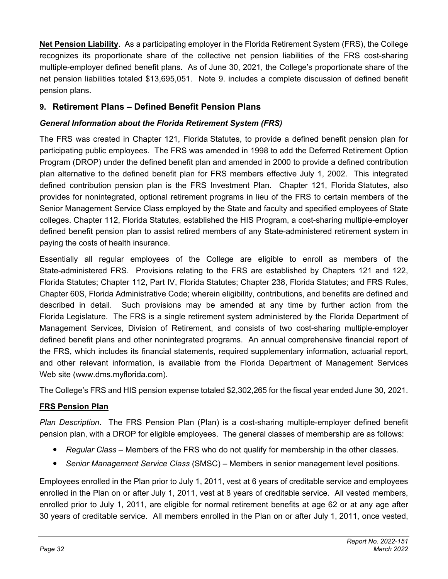**Net Pension Liability**. As a participating employer in the Florida Retirement System (FRS), the College recognizes its proportionate share of the collective net pension liabilities of the FRS cost-sharing multiple-employer defined benefit plans. As of June 30, 2021, the College's proportionate share of the net pension liabilities totaled \$13,695,051. Note 9. includes a complete discussion of defined benefit pension plans.

## **9. Retirement Plans – Defined Benefit Pension Plans**

## *General Information about the Florida Retirement System (FRS)*

The FRS was created in Chapter 121, Florida Statutes, to provide a defined benefit pension plan for participating public employees. The FRS was amended in 1998 to add the Deferred Retirement Option Program (DROP) under the defined benefit plan and amended in 2000 to provide a defined contribution plan alternative to the defined benefit plan for FRS members effective July 1, 2002. This integrated defined contribution pension plan is the FRS Investment Plan. Chapter 121, Florida Statutes, also provides for nonintegrated, optional retirement programs in lieu of the FRS to certain members of the Senior Management Service Class employed by the State and faculty and specified employees of State colleges. Chapter 112, Florida Statutes, established the HIS Program, a cost-sharing multiple-employer defined benefit pension plan to assist retired members of any State-administered retirement system in paying the costs of health insurance.

Essentially all regular employees of the College are eligible to enroll as members of the State-administered FRS. Provisions relating to the FRS are established by Chapters 121 and 122, Florida Statutes; Chapter 112, Part IV, Florida Statutes; Chapter 238, Florida Statutes; and FRS Rules, Chapter 60S, Florida Administrative Code; wherein eligibility, contributions, and benefits are defined and described in detail. Such provisions may be amended at any time by further action from the Florida Legislature. The FRS is a single retirement system administered by the Florida Department of Management Services, Division of Retirement, and consists of two cost-sharing multiple-employer defined benefit plans and other nonintegrated programs. An annual comprehensive financial report of the FRS, which includes its financial statements, required supplementary information, actuarial report, and other relevant information, is available from the Florida Department of Management Services Web site (www.dms.myflorida.com).

The College's FRS and HIS pension expense totaled \$2,302,265 for the fiscal year ended June 30, 2021.

## **FRS Pension Plan**

*Plan Description*. The FRS Pension Plan (Plan) is a cost-sharing multiple-employer defined benefit pension plan, with a DROP for eligible employees. The general classes of membership are as follows:

- *Regular Class* Members of the FRS who do not qualify for membership in the other classes.
- *Senior Management Service Class* (SMSC) Members in senior management level positions.

Employees enrolled in the Plan prior to July 1, 2011, vest at 6 years of creditable service and employees enrolled in the Plan on or after July 1, 2011, vest at 8 years of creditable service. All vested members, enrolled prior to July 1, 2011, are eligible for normal retirement benefits at age 62 or at any age after 30 years of creditable service. All members enrolled in the Plan on or after July 1, 2011, once vested,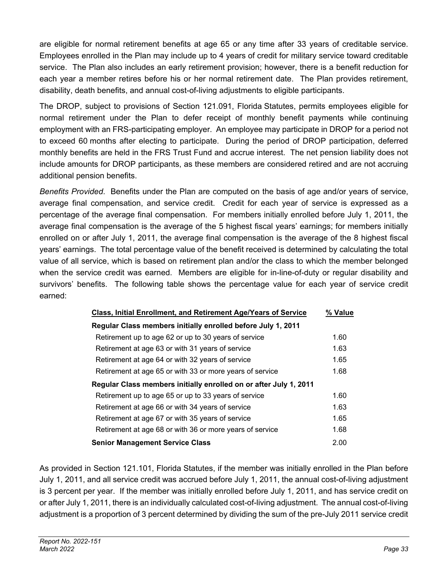are eligible for normal retirement benefits at age 65 or any time after 33 years of creditable service. Employees enrolled in the Plan may include up to 4 years of credit for military service toward creditable service. The Plan also includes an early retirement provision; however, there is a benefit reduction for each year a member retires before his or her normal retirement date. The Plan provides retirement, disability, death benefits, and annual cost-of-living adjustments to eligible participants.

The DROP, subject to provisions of Section 121.091, Florida Statutes, permits employees eligible for normal retirement under the Plan to defer receipt of monthly benefit payments while continuing employment with an FRS-participating employer. An employee may participate in DROP for a period not to exceed 60 months after electing to participate. During the period of DROP participation, deferred monthly benefits are held in the FRS Trust Fund and accrue interest. The net pension liability does not include amounts for DROP participants, as these members are considered retired and are not accruing additional pension benefits.

*Benefits Provided*. Benefits under the Plan are computed on the basis of age and/or years of service, average final compensation, and service credit. Credit for each year of service is expressed as a percentage of the average final compensation. For members initially enrolled before July 1, 2011, the average final compensation is the average of the 5 highest fiscal years' earnings; for members initially enrolled on or after July 1, 2011, the average final compensation is the average of the 8 highest fiscal years' earnings. The total percentage value of the benefit received is determined by calculating the total value of all service, which is based on retirement plan and/or the class to which the member belonged when the service credit was earned. Members are eligible for in-line-of-duty or regular disability and survivors' benefits. The following table shows the percentage value for each year of service credit earned:

| Class, Initial Enrollment, and Retirement Age/Years of Service    | % Value |
|-------------------------------------------------------------------|---------|
| Regular Class members initially enrolled before July 1, 2011      |         |
| Retirement up to age 62 or up to 30 years of service              | 1.60    |
| Retirement at age 63 or with 31 years of service                  | 1.63    |
| Retirement at age 64 or with 32 years of service                  | 1.65    |
| Retirement at age 65 or with 33 or more years of service          | 1.68    |
| Regular Class members initially enrolled on or after July 1, 2011 |         |
| Retirement up to age 65 or up to 33 years of service              | 1.60    |
| Retirement at age 66 or with 34 years of service                  | 1.63    |
| Retirement at age 67 or with 35 years of service                  | 1.65    |
| Retirement at age 68 or with 36 or more years of service          | 1.68    |
| <b>Senior Management Service Class</b>                            | 2.00    |

As provided in Section 121.101, Florida Statutes, if the member was initially enrolled in the Plan before July 1, 2011, and all service credit was accrued before July 1, 2011, the annual cost-of-living adjustment is 3 percent per year. If the member was initially enrolled before July 1, 2011, and has service credit on or after July 1, 2011, there is an individually calculated cost-of-living adjustment. The annual cost-of-living adjustment is a proportion of 3 percent determined by dividing the sum of the pre-July 2011 service credit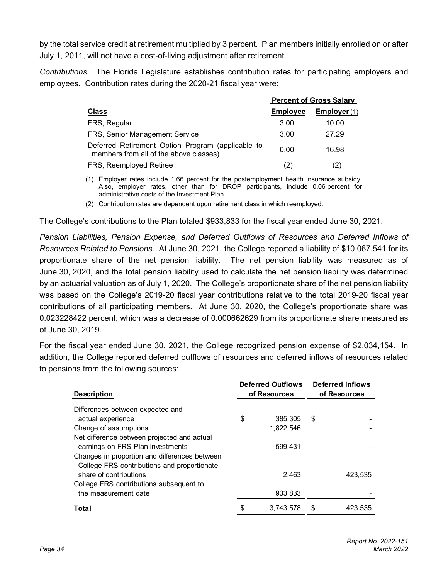by the total service credit at retirement multiplied by 3 percent. Plan members initially enrolled on or after July 1, 2011, will not have a cost-of-living adjustment after retirement.

*Contributions*. The Florida Legislature establishes contribution rates for participating employers and employees. Contribution rates during the 2020-21 fiscal year were:

|                                                                                             | <b>Percent of Gross Salary</b> |                |  |
|---------------------------------------------------------------------------------------------|--------------------------------|----------------|--|
| <b>Class</b>                                                                                | <b>Employee</b>                | Employer $(1)$ |  |
| FRS, Regular                                                                                | 3.00                           | 10.00          |  |
| FRS, Senior Management Service                                                              | 3.00                           | 27.29          |  |
| Deferred Retirement Option Program (applicable to<br>members from all of the above classes) | 0.00                           | 16.98          |  |
| FRS, Reemployed Retiree                                                                     |                                | 2)             |  |

(1) Employer rates include 1.66 percent for the postemployment health insurance subsidy. Also, employer rates, other than for DROP participants, include 0.06 percent for administrative costs of the Investment Plan.

(2) Contribution rates are dependent upon retirement class in which reemployed.

The College's contributions to the Plan totaled \$933,833 for the fiscal year ended June 30, 2021.

*Pension Liabilities, Pension Expense, and Deferred Outflows of Resources and Deferred Inflows of Resources Related to Pensions*. At June 30, 2021, the College reported a liability of \$10,067,541 for its proportionate share of the net pension liability. The net pension liability was measured as of June 30, 2020, and the total pension liability used to calculate the net pension liability was determined by an actuarial valuation as of July 1, 2020. The College's proportionate share of the net pension liability was based on the College's 2019-20 fiscal year contributions relative to the total 2019-20 fiscal year contributions of all participating members. At June 30, 2020, the College's proportionate share was 0.023228422 percent, which was a decrease of 0.000662629 from its proportionate share measured as of June 30, 2019.

For the fiscal year ended June 30, 2021, the College recognized pension expense of \$2,034,154. In addition, the College reported deferred outflows of resources and deferred inflows of resources related to pensions from the following sources:

| <b>Description</b>                                                              | <b>Deferred Outflows</b><br>of Resources |           | <b>Deferred Inflows</b><br>of Resources |         |
|---------------------------------------------------------------------------------|------------------------------------------|-----------|-----------------------------------------|---------|
| Differences between expected and                                                |                                          |           |                                         |         |
| actual experience                                                               | \$                                       | 385,305   | S                                       |         |
| Change of assumptions                                                           |                                          | 1,822,546 |                                         |         |
| Net difference between projected and actual<br>earnings on FRS Plan investments |                                          | 599.431   |                                         |         |
| Changes in proportion and differences between                                   |                                          |           |                                         |         |
| College FRS contributions and proportionate<br>share of contributions           |                                          | 2,463     |                                         | 423,535 |
| College FRS contributions subsequent to<br>the measurement date                 |                                          | 933,833   |                                         |         |
| Total                                                                           |                                          | 3,743,578 | \$                                      | 423.535 |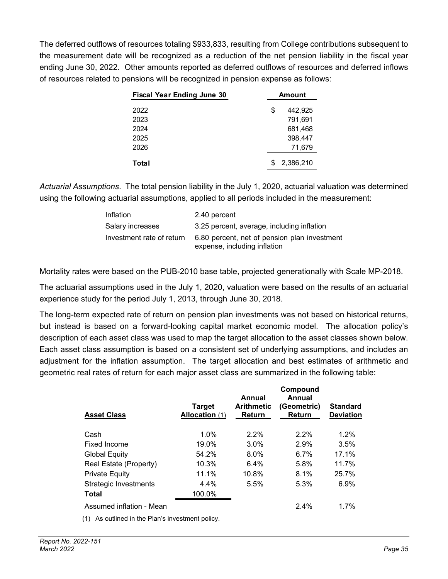The deferred outflows of resources totaling \$933,833, resulting from College contributions subsequent to the measurement date will be recognized as a reduction of the net pension liability in the fiscal year ending June 30, 2022. Other amounts reported as deferred outflows of resources and deferred inflows of resources related to pensions will be recognized in pension expense as follows:

| <b>Fiscal Year Ending June 30</b> |    | <b>Amount</b> |  |  |
|-----------------------------------|----|---------------|--|--|
| 2022                              | \$ | 442.925       |  |  |
| 2023                              |    | 791,691       |  |  |
| 2024                              |    | 681,468       |  |  |
| 2025                              |    | 398,447       |  |  |
| 2026                              |    | 71,679        |  |  |
| Total                             |    | 2,386,210     |  |  |

*Actuarial Assumptions*. The total pension liability in the July 1, 2020, actuarial valuation was determined using the following actuarial assumptions, applied to all periods included in the measurement:

| Inflation                 | 2.40 percent                                                                 |
|---------------------------|------------------------------------------------------------------------------|
| Salary increases          | 3.25 percent, average, including inflation                                   |
| Investment rate of return | 6.80 percent, net of pension plan investment<br>expense, including inflation |

Mortality rates were based on the PUB-2010 base table, projected generationally with Scale MP-2018.

The actuarial assumptions used in the July 1, 2020, valuation were based on the results of an actuarial experience study for the period July 1, 2013, through June 30, 2018.

The long-term expected rate of return on pension plan investments was not based on historical returns, but instead is based on a forward-looking capital market economic model. The allocation policy's description of each asset class was used to map the target allocation to the asset classes shown below. Each asset class assumption is based on a consistent set of underlying assumptions, and includes an adjustment for the inflation assumption. The target allocation and best estimates of arithmetic and geometric real rates of return for each major asset class are summarized in the following table:

| <b>Asset Class</b>           | <b>Target</b><br>Allocation (1) | Annual<br>Arithmetic<br>Return | Compound<br>Annual<br>(Geometric)<br>Return | <b>Standard</b><br><b>Deviation</b> |
|------------------------------|---------------------------------|--------------------------------|---------------------------------------------|-------------------------------------|
| Cash                         | $1.0\%$                         | $2.2\%$                        | $2.2\%$                                     | $1.2\%$                             |
| Fixed Income                 | 19.0%                           | $3.0\%$                        | 2.9%                                        | 3.5%                                |
| <b>Global Equity</b>         | 54.2%                           | $8.0\%$                        | 6.7%                                        | 17.1%                               |
| Real Estate (Property)       | 10.3%                           | 6.4%                           | 5.8%                                        | 11.7%                               |
| <b>Private Equity</b>        | $11.1\%$                        | 10.8%                          | 8.1%                                        | 25.7%                               |
| <b>Strategic Investments</b> | 4.4%                            | 5.5%                           | 5.3%                                        | 6.9%                                |
| <b>Total</b>                 | 100.0%                          |                                |                                             |                                     |
| Assumed inflation - Mean     |                                 |                                | 2.4%                                        | 1.7%                                |

(1) As outlined in the Plan's investment policy.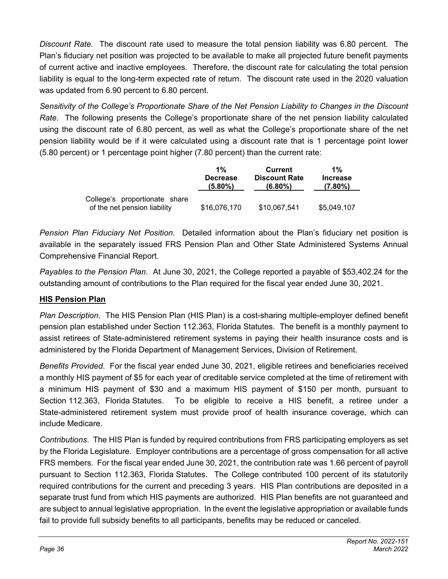*Discount Rate*. The discount rate used to measure the total pension liability was 6.80 percent. The Plan's fiduciary net position was projected to be available to make all projected future benefit payments of current active and inactive employees. Therefore, the discount rate for calculating the total pension liability is equal to the long-term expected rate of return. The discount rate used in the 2020 valuation was updated from 6.90 percent to 6.80 percent.

*Sensitivity of the College's Proportionate Share of the Net Pension Liability to Changes in the Discount Rate*. The following presents the College's proportionate share of the net pension liability calculated using the discount rate of 6.80 percent, as well as what the College's proportionate share of the net pension liability would be if it were calculated using a discount rate that is 1 percentage point lower (5.80 percent) or 1 percentage point higher (7.80 percent) than the current rate:

|                                                               | 1%              | Current              | 1%              |
|---------------------------------------------------------------|-----------------|----------------------|-----------------|
|                                                               | <b>Decrease</b> | <b>Discount Rate</b> | <b>Increase</b> |
|                                                               | $(5.80\%)$      | $(6.80\%)$           | $(7.80\%)$      |
| College's proportionate share<br>of the net pension liability | \$16,076,170    | \$10,067,541         | \$5,049,107     |

*Pension Plan Fiduciary Net Position*. Detailed information about the Plan's fiduciary net position is available in the separately issued FRS Pension Plan and Other State Administered Systems Annual Comprehensive Financial Report.

*Payables to the Pension Plan*. At June 30, 2021, the College reported a payable of \$53,402.24 for the outstanding amount of contributions to the Plan required for the fiscal year ended June 30, 2021.

## **HIS Pension Plan**

*Plan Description*. The HIS Pension Plan (HIS Plan) is a cost-sharing multiple-employer defined benefit pension plan established under Section 112.363, Florida Statutes. The benefit is a monthly payment to assist retirees of State-administered retirement systems in paying their health insurance costs and is administered by the Florida Department of Management Services, Division of Retirement.

*Benefits Provided*. For the fiscal year ended June 30, 2021, eligible retirees and beneficiaries received a monthly HIS payment of \$5 for each year of creditable service completed at the time of retirement with a minimum HIS payment of \$30 and a maximum HIS payment of \$150 per month, pursuant to Section 112.363, Florida Statutes. To be eligible to receive a HIS benefit, a retiree under a State-administered retirement system must provide proof of health insurance coverage, which can include Medicare.

*Contributions*. The HIS Plan is funded by required contributions from FRS participating employers as set by the Florida Legislature. Employer contributions are a percentage of gross compensation for all active FRS members. For the fiscal year ended June 30, 2021, the contribution rate was 1.66 percent of payroll pursuant to Section 112.363, Florida Statutes. The College contributed 100 percent of its statutorily required contributions for the current and preceding 3 years. HIS Plan contributions are deposited in a separate trust fund from which HIS payments are authorized. HIS Plan benefits are not guaranteed and are subject to annual legislative appropriation. In the event the legislative appropriation or available funds fail to provide full subsidy benefits to all participants, benefits may be reduced or canceled.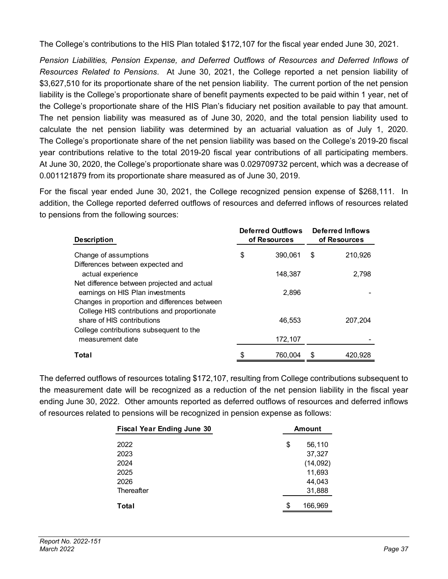The College's contributions to the HIS Plan totaled \$172,107 for the fiscal year ended June 30, 2021.

*Pension Liabilities, Pension Expense, and Deferred Outflows of Resources and Deferred Inflows of Resources Related to Pensions*. At June 30, 2021, the College reported a net pension liability of \$3,627,510 for its proportionate share of the net pension liability. The current portion of the net pension liability is the College's proportionate share of benefit payments expected to be paid within 1 year, net of the College's proportionate share of the HIS Plan's fiduciary net position available to pay that amount. The net pension liability was measured as of June 30, 2020, and the total pension liability used to calculate the net pension liability was determined by an actuarial valuation as of July 1, 2020. The College's proportionate share of the net pension liability was based on the College's 2019-20 fiscal year contributions relative to the total 2019-20 fiscal year contributions of all participating members. At June 30, 2020, the College's proportionate share was 0.029709732 percent, which was a decrease of 0.001121879 from its proportionate share measured as of June 30, 2019.

For the fiscal year ended June 30, 2021, the College recognized pension expense of \$268,111. In addition, the College reported deferred outflows of resources and deferred inflows of resources related to pensions from the following sources:

| <b>Description</b>                            | <b>Deferred Outflows</b><br>of Resources | <b>Deferred Inflows</b><br>of Resources |         |  |  |
|-----------------------------------------------|------------------------------------------|-----------------------------------------|---------|--|--|
| Change of assumptions                         | \$<br>390,061                            | \$                                      | 210,926 |  |  |
| Differences between expected and              |                                          |                                         |         |  |  |
| actual experience                             | 148,387                                  |                                         | 2,798   |  |  |
| Net difference between projected and actual   |                                          |                                         |         |  |  |
| earnings on HIS Plan investments              | 2,896                                    |                                         |         |  |  |
| Changes in proportion and differences between |                                          |                                         |         |  |  |
| College HIS contributions and proportionate   |                                          |                                         |         |  |  |
| share of HIS contributions                    | 46.553                                   |                                         | 207.204 |  |  |
| College contributions subsequent to the       |                                          |                                         |         |  |  |
| measurement date                              | 172,107                                  |                                         |         |  |  |
| Total                                         | \$<br>760.004                            | S                                       | 420.928 |  |  |

The deferred outflows of resources totaling \$172,107, resulting from College contributions subsequent to the measurement date will be recognized as a reduction of the net pension liability in the fiscal year ending June 30, 2022. Other amounts reported as deferred outflows of resources and deferred inflows of resources related to pensions will be recognized in pension expense as follows:

| <b>Fiscal Year Ending June 30</b> | Amount        |  |  |  |
|-----------------------------------|---------------|--|--|--|
| 2022                              | \$<br>56,110  |  |  |  |
| 2023                              | 37,327        |  |  |  |
| 2024                              | (14,092)      |  |  |  |
| 2025                              | 11,693        |  |  |  |
| 2026                              | 44,043        |  |  |  |
| Thereafter                        | 31,888        |  |  |  |
| Total                             | \$<br>166,969 |  |  |  |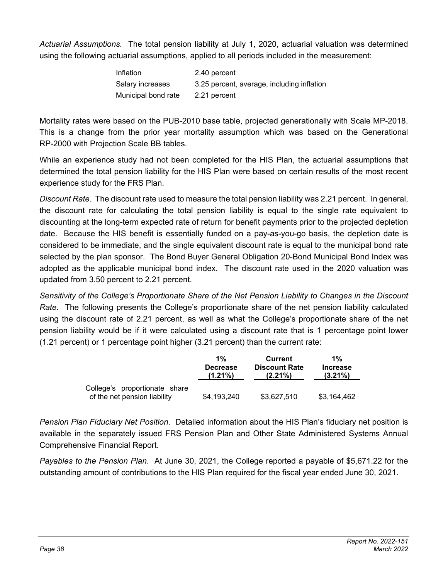*Actuarial Assumptions.* The total pension liability at July 1, 2020, actuarial valuation was determined using the following actuarial assumptions, applied to all periods included in the measurement:

| Inflation           | 2.40 percent                               |
|---------------------|--------------------------------------------|
| Salary increases    | 3.25 percent, average, including inflation |
| Municipal bond rate | 2.21 percent                               |

Mortality rates were based on the PUB-2010 base table, projected generationally with Scale MP-2018. This is a change from the prior year mortality assumption which was based on the Generational RP-2000 with Projection Scale BB tables.

While an experience study had not been completed for the HIS Plan, the actuarial assumptions that determined the total pension liability for the HIS Plan were based on certain results of the most recent experience study for the FRS Plan.

*Discount Rate*. The discount rate used to measure the total pension liability was 2.21 percent. In general, the discount rate for calculating the total pension liability is equal to the single rate equivalent to discounting at the long-term expected rate of return for benefit payments prior to the projected depletion date. Because the HIS benefit is essentially funded on a pay-as-you-go basis, the depletion date is considered to be immediate, and the single equivalent discount rate is equal to the municipal bond rate selected by the plan sponsor. The Bond Buyer General Obligation 20-Bond Municipal Bond Index was adopted as the applicable municipal bond index. The discount rate used in the 2020 valuation was updated from 3.50 percent to 2.21 percent.

*Sensitivity of the College's Proportionate Share of the Net Pension Liability to Changes in the Discount Rate*. The following presents the College's proportionate share of the net pension liability calculated using the discount rate of 2.21 percent, as well as what the College's proportionate share of the net pension liability would be if it were calculated using a discount rate that is 1 percentage point lower (1.21 percent) or 1 percentage point higher (3.21 percent) than the current rate:

| 1%<br><b>Decrease</b><br>$(1.21\%)$ | <b>Current</b><br><b>Discount Rate</b><br>$(2.21\%)$ | 1%<br><b>Increase</b><br>$(3.21\%)$ |
|-------------------------------------|------------------------------------------------------|-------------------------------------|
|                                     |                                                      | \$3,164,462                         |
|                                     | \$4,193,240                                          | \$3,627,510                         |

*Pension Plan Fiduciary Net Position*. Detailed information about the HIS Plan's fiduciary net position is available in the separately issued FRS Pension Plan and Other State Administered Systems Annual Comprehensive Financial Report.

*Payables to the Pension Plan*. At June 30, 2021, the College reported a payable of \$5,671.22 for the outstanding amount of contributions to the HIS Plan required for the fiscal year ended June 30, 2021.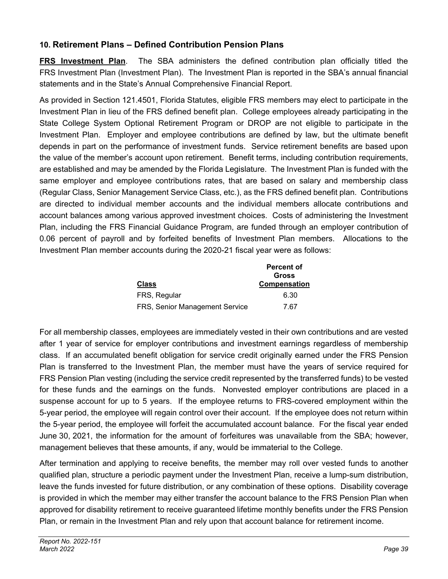## **10. Retirement Plans – Defined Contribution Pension Plans**

**FRS Investment Plan**. The SBA administers the defined contribution plan officially titled the FRS Investment Plan (Investment Plan). The Investment Plan is reported in the SBA's annual financial statements and in the State's Annual Comprehensive Financial Report.

As provided in Section 121.4501, Florida Statutes, eligible FRS members may elect to participate in the Investment Plan in lieu of the FRS defined benefit plan. College employees already participating in the State College System Optional Retirement Program or DROP are not eligible to participate in the Investment Plan. Employer and employee contributions are defined by law, but the ultimate benefit depends in part on the performance of investment funds. Service retirement benefits are based upon the value of the member's account upon retirement. Benefit terms, including contribution requirements, are established and may be amended by the Florida Legislature. The Investment Plan is funded with the same employer and employee contributions rates, that are based on salary and membership class (Regular Class, Senior Management Service Class, etc.), as the FRS defined benefit plan. Contributions are directed to individual member accounts and the individual members allocate contributions and account balances among various approved investment choices. Costs of administering the Investment Plan, including the FRS Financial Guidance Program, are funded through an employer contribution of 0.06 percent of payroll and by forfeited benefits of Investment Plan members. Allocations to the Investment Plan member accounts during the 2020-21 fiscal year were as follows:

|                                | <b>Percent of</b> |
|--------------------------------|-------------------|
|                                | Gross             |
| <b>Class</b>                   | Compensation      |
| FRS, Regular                   | 6.30              |
| FRS, Senior Management Service | 7 67              |

For all membership classes, employees are immediately vested in their own contributions and are vested after 1 year of service for employer contributions and investment earnings regardless of membership class. If an accumulated benefit obligation for service credit originally earned under the FRS Pension Plan is transferred to the Investment Plan, the member must have the years of service required for FRS Pension Plan vesting (including the service credit represented by the transferred funds) to be vested for these funds and the earnings on the funds. Nonvested employer contributions are placed in a suspense account for up to 5 years. If the employee returns to FRS-covered employment within the 5-year period, the employee will regain control over their account. If the employee does not return within the 5-year period, the employee will forfeit the accumulated account balance. For the fiscal year ended June 30, 2021, the information for the amount of forfeitures was unavailable from the SBA; however, management believes that these amounts, if any, would be immaterial to the College.

After termination and applying to receive benefits, the member may roll over vested funds to another qualified plan, structure a periodic payment under the Investment Plan, receive a lump-sum distribution, leave the funds invested for future distribution, or any combination of these options. Disability coverage is provided in which the member may either transfer the account balance to the FRS Pension Plan when approved for disability retirement to receive guaranteed lifetime monthly benefits under the FRS Pension Plan, or remain in the Investment Plan and rely upon that account balance for retirement income.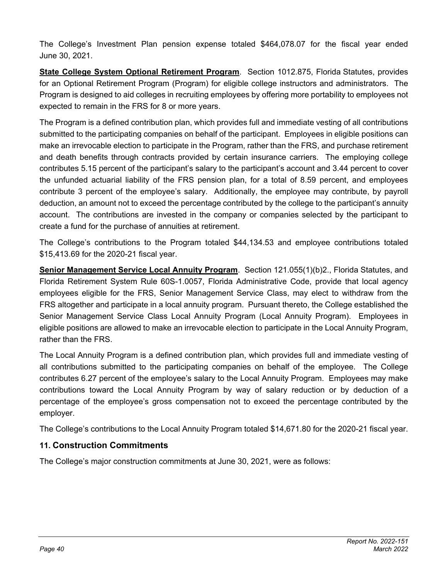The College's Investment Plan pension expense totaled \$464,078.07 for the fiscal year ended June 30, 2021.

**State College System Optional Retirement Program**. Section 1012.875, Florida Statutes, provides for an Optional Retirement Program (Program) for eligible college instructors and administrators. The Program is designed to aid colleges in recruiting employees by offering more portability to employees not expected to remain in the FRS for 8 or more years.

The Program is a defined contribution plan, which provides full and immediate vesting of all contributions submitted to the participating companies on behalf of the participant. Employees in eligible positions can make an irrevocable election to participate in the Program, rather than the FRS, and purchase retirement and death benefits through contracts provided by certain insurance carriers. The employing college contributes 5.15 percent of the participant's salary to the participant's account and 3.44 percent to cover the unfunded actuarial liability of the FRS pension plan, for a total of 8.59 percent, and employees contribute 3 percent of the employee's salary. Additionally, the employee may contribute, by payroll deduction, an amount not to exceed the percentage contributed by the college to the participant's annuity account. The contributions are invested in the company or companies selected by the participant to create a fund for the purchase of annuities at retirement.

The College's contributions to the Program totaled \$44,134.53 and employee contributions totaled \$15,413.69 for the 2020-21 fiscal year.

**Senior Management Service Local Annuity Program**. Section 121.055(1)(b)2., Florida Statutes, and Florida Retirement System Rule 60S-1.0057, Florida Administrative Code, provide that local agency employees eligible for the FRS, Senior Management Service Class, may elect to withdraw from the FRS altogether and participate in a local annuity program. Pursuant thereto, the College established the Senior Management Service Class Local Annuity Program (Local Annuity Program). Employees in eligible positions are allowed to make an irrevocable election to participate in the Local Annuity Program, rather than the FRS.

The Local Annuity Program is a defined contribution plan, which provides full and immediate vesting of all contributions submitted to the participating companies on behalf of the employee. The College contributes 6.27 percent of the employee's salary to the Local Annuity Program. Employees may make contributions toward the Local Annuity Program by way of salary reduction or by deduction of a percentage of the employee's gross compensation not to exceed the percentage contributed by the employer.

The College's contributions to the Local Annuity Program totaled \$14,671.80 for the 2020-21 fiscal year.

## **11. Construction Commitments**

The College's major construction commitments at June 30, 2021, were as follows: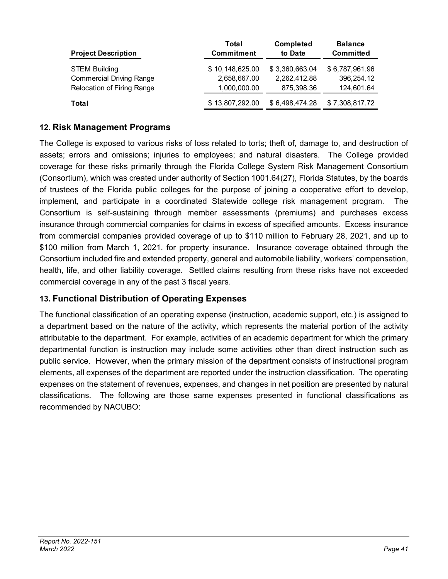| <b>Project Description</b>      | Total<br><b>Commitment</b> | <b>Completed</b><br>to Date | <b>Balance</b><br>Committed |
|---------------------------------|----------------------------|-----------------------------|-----------------------------|
| <b>STEM Building</b>            | \$10,148,625.00            | \$3,360,663.04              | \$6,787,961.96              |
| <b>Commercial Driving Range</b> | 2,658,667.00               | 2,262,412.88                | 396,254.12                  |
| Relocation of Firing Range      | 1,000,000.00               | 875,398.36                  | 124,601.64                  |
| Total                           | \$13,807,292.00            | \$6,498,474.28              | \$7,308,817.72              |

## **12. Risk Management Programs**

The College is exposed to various risks of loss related to torts; theft of, damage to, and destruction of assets; errors and omissions; injuries to employees; and natural disasters. The College provided coverage for these risks primarily through the Florida College System Risk Management Consortium (Consortium), which was created under authority of Section 1001.64(27), Florida Statutes, by the boards of trustees of the Florida public colleges for the purpose of joining a cooperative effort to develop, implement, and participate in a coordinated Statewide college risk management program. The Consortium is self-sustaining through member assessments (premiums) and purchases excess insurance through commercial companies for claims in excess of specified amounts. Excess insurance from commercial companies provided coverage of up to \$110 million to February 28, 2021, and up to \$100 million from March 1, 2021, for property insurance. Insurance coverage obtained through the Consortium included fire and extended property, general and automobile liability, workers' compensation, health, life, and other liability coverage. Settled claims resulting from these risks have not exceeded commercial coverage in any of the past 3 fiscal years.

## **13. Functional Distribution of Operating Expenses**

The functional classification of an operating expense (instruction, academic support, etc.) is assigned to a department based on the nature of the activity, which represents the material portion of the activity attributable to the department. For example, activities of an academic department for which the primary departmental function is instruction may include some activities other than direct instruction such as public service. However, when the primary mission of the department consists of instructional program elements, all expenses of the department are reported under the instruction classification. The operating expenses on the statement of revenues, expenses, and changes in net position are presented by natural classifications. The following are those same expenses presented in functional classifications as recommended by NACUBO: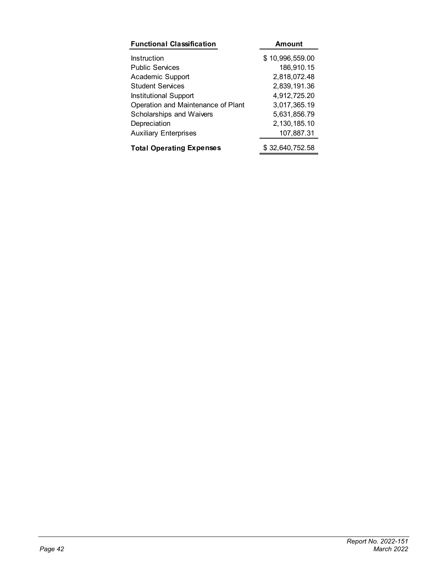| <b>Functional Classification</b>   | Amount          |
|------------------------------------|-----------------|
| Instruction                        | \$10,996,559.00 |
| <b>Public Services</b>             | 186,910.15      |
| Academic Support                   | 2,818,072.48    |
| <b>Student Services</b>            | 2,839,191.36    |
| <b>Institutional Support</b>       | 4,912,725.20    |
| Operation and Maintenance of Plant | 3,017,365.19    |
| Scholarships and Waivers           | 5,631,856.79    |
| Depreciation                       | 2,130,185.10    |
| <b>Auxiliary Enterprises</b>       | 107,887.31      |
| <b>Total Operating Expenses</b>    | \$32,640,752.58 |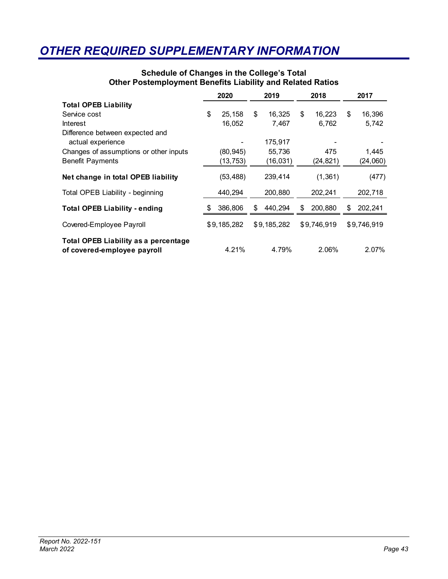## <span id="page-46-0"></span>*OTHER REQUIRED SUPPLEMENTARY INFORMATION*

|                                                                            | 2020 |             | 2019          | 2018          | 2017 |             |  |
|----------------------------------------------------------------------------|------|-------------|---------------|---------------|------|-------------|--|
| <b>Total OPEB Liability</b>                                                |      |             |               |               |      |             |  |
| Service cost                                                               | \$   | 25.158      | \$<br>16.325  | \$<br>16.223  | \$   | 16,396      |  |
| <b>Interest</b>                                                            |      | 16,052      | 7,467         | 6,762         |      | 5,742       |  |
| Difference between expected and                                            |      |             |               |               |      |             |  |
| actual experience                                                          |      |             | 175,917       |               |      |             |  |
| Changes of assumptions or other inputs                                     |      | (80, 945)   | 55,736        | 475           |      | 1,445       |  |
| <b>Benefit Payments</b>                                                    |      | (13, 753)   | (16, 031)     | (24, 821)     |      | (24,060)    |  |
| Net change in total OPEB liability                                         |      | (53,488)    | 239,414       | (1, 361)      |      | (477)       |  |
| Total OPEB Liability - beginning                                           |      | 440,294     | 200,880       | 202,241       |      | 202,718     |  |
| <b>Total OPEB Liability - ending</b>                                       | S    | 386,806     | \$<br>440,294 | \$<br>200,880 | \$   | 202,241     |  |
| Covered-Employee Payroll                                                   |      | \$9,185,282 | \$9,185,282   | \$9,746,919   |      | \$9,746,919 |  |
| <b>Total OPEB Liability as a percentage</b><br>of covered-employee payroll |      | 4.21%       | 4.79%         | 2.06%         |      | 2.07%       |  |

#### **Schedule of Changes in the College's Total Other Postemployment Benefits Liability and Related Ratios**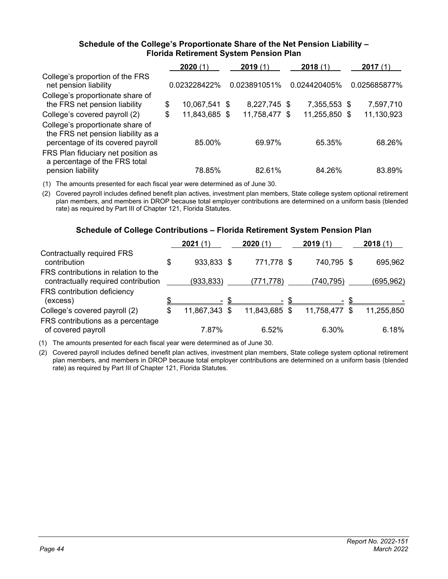#### **Schedule of the College's Proportionate Share of the Net Pension Liability – Florida Retirement System Pension Plan**

<span id="page-47-0"></span>

|                                                                                                             | 2020(1)             | 2019(1)       | 2018(1)       | 2017 (1      |
|-------------------------------------------------------------------------------------------------------------|---------------------|---------------|---------------|--------------|
| College's proportion of the FRS<br>net pension liability<br>College's proportionate share of                | 0.023228422%        | 0.023891051%  | 0.024420405%  | 0.025685877% |
| the FRS net pension liability                                                                               | \$<br>10,067,541 \$ | 8,227,745 \$  | 7,355,553 \$  | 7,597,710    |
| College's covered payroll (2)                                                                               | \$<br>11,843,685 \$ | 11,758,477 \$ | 11,255,850 \$ | 11,130,923   |
| College's proportionate share of<br>the FRS net pension liability as a<br>percentage of its covered payroll | 85.00%              | 69.97%        | 65.35%        | 68.26%       |
| FRS Plan fiduciary net position as<br>a percentage of the FRS total<br>pension liability                    | 78.85%              | 82.61%        | 84.26%        | 83.89%       |

(1) The amounts presented for each fiscal year were determined as of June 30.

(2) Covered payroll includes defined benefit plan actives, investment plan members, State college system optional retirement plan members, and members in DROP because total employer contributions are determined on a uniform basis (blended rate) as required by Part III of Chapter 121, Florida Statutes.

#### **Schedule of College Contributions – Florida Retirement System Pension Plan**

|                                                                             | 2021(1)             | 2020(1)       | 2019(1)    | 2018(1)          |
|-----------------------------------------------------------------------------|---------------------|---------------|------------|------------------|
| <b>Contractually required FRS</b><br>contribution                           | \$<br>933,833 \$    | 771,778 \$    | 740,795 \$ | 695,962          |
| FRS contributions in relation to the<br>contractually required contribution | (933, 833)          | (771,778)     | (740, 795) | (695, 962)       |
| FRS contribution deficiency<br>(excess)                                     |                     |               |            |                  |
| College's covered payroll (2)                                               | \$<br>11,867,343 \$ | 11,843,685 \$ | 11,758,477 | \$<br>11,255,850 |
| FRS contributions as a percentage<br>of covered payroll                     | 7.87%               | 6.52%         | 6.30%      | 6.18%            |

(1) The amounts presented for each fiscal year were determined as of June 30.

(2) Covered payroll includes defined benefit plan actives, investment plan members, State college system optional retirement plan members, and members in DROP because total employer contributions are determined on a uniform basis (blended rate) as required by Part III of Chapter 121, Florida Statutes.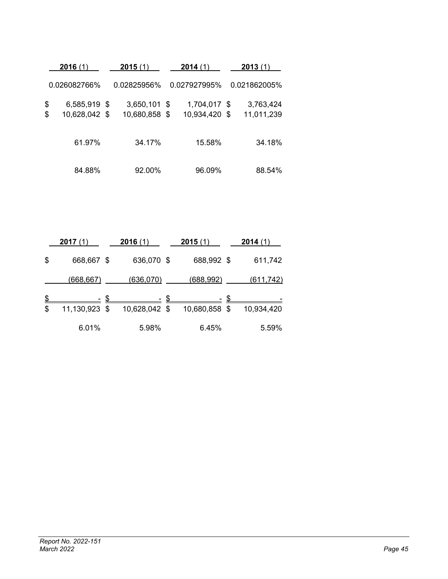|    | 2016(1)       | 2015(1) |             |      |               | 2013(1)      |
|----|---------------|---------|-------------|------|---------------|--------------|
|    | 0.026082766%  |         | 0.02825956% |      | 0.027927995%  | 0.021862005% |
| \$ | 6,585,919 \$  |         | 3,650,101   | - \$ | 1,704,017 \$  | 3,763,424    |
| \$ | 10,628,042 \$ |         | 10,680,858  | - \$ | 10,934,420 \$ | 11,011,239   |
|    | 61.97%        |         | 34.17%      |      | 15.58%        | 34.18%       |
|    | 84.88%        |         | 92.00%      |      | 96.09%        | 88.54%       |

| 2017(1)             | 2016(1)       | 2015(1)       | 2014(1)    |
|---------------------|---------------|---------------|------------|
| \$<br>668,667 \$    | 636,070 \$    | 688,992 \$    | 611,742    |
| (668, 667)          | (636,070)     | (688, 992)    | (611, 742) |
|                     |               |               |            |
| \$<br>11,130,923 \$ | 10,628,042 \$ | 10,680,858 \$ | 10,934,420 |
| 6.01%               | 5.98%         | 6.45%         | 5.59%      |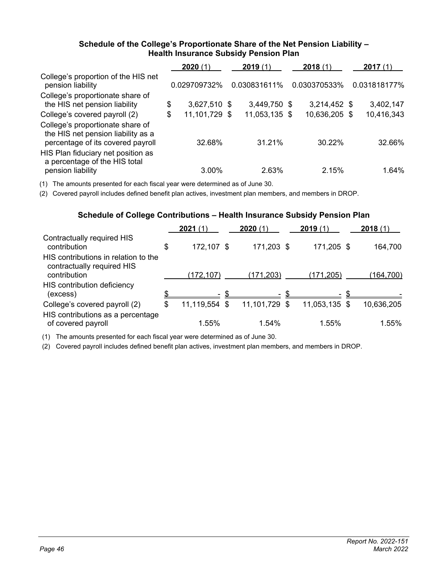#### **Schedule of the College's Proportionate Share of the Net Pension Liability – Health Insurance Subsidy Pension Plan**

<span id="page-49-0"></span>

|                                                                                                             | 2020(1)             | 2019(1)       | 2018(1)       | 2017(1)      |
|-------------------------------------------------------------------------------------------------------------|---------------------|---------------|---------------|--------------|
| College's proportion of the HIS net<br>pension liability<br>College's proportionate share of                | 0.029709732%        | 0.030831611%  | 0.030370533%  | 0.031818177% |
| the HIS net pension liability                                                                               | \$<br>3,627,510 \$  | 3,449,750 \$  | 3,214,452 \$  | 3,402,147    |
| College's covered payroll (2)                                                                               | \$<br>11,101,729 \$ | 11,053,135 \$ | 10,636,205 \$ | 10,416,343   |
| College's proportionate share of<br>the HIS net pension liability as a<br>percentage of its covered payroll | 32.68%              | 31.21%        | 30.22%        | 32.66%       |
| HIS Plan fiduciary net position as<br>a percentage of the HIS total<br>pension liability                    | $3.00\%$            | 2.63%         | 2.15%         | 1.64%        |

(1) The amounts presented for each fiscal year were determined as of June 30.

(2) Covered payroll includes defined benefit plan actives, investment plan members, and members in DROP.

#### **Schedule of College Contributions – Health Insurance Subsidy Pension Plan**

|                                                                    | 2021(1)          |      | 2020(1)       | 2019(1)       | 2018(1)    |
|--------------------------------------------------------------------|------------------|------|---------------|---------------|------------|
| Contractually required HIS<br>contribution                         | \$<br>172,107 \$ |      | 171,203 \$    | 171,205 \$    | 164,700    |
| HIS contributions in relation to the<br>contractually required HIS |                  |      |               |               |            |
| contribution                                                       | (172, 107)       |      | (171, 203)    | (171, 205)    | (164,700)  |
| HIS contribution deficiency                                        |                  |      |               |               |            |
| (excess)                                                           |                  |      |               |               |            |
| College's covered payroll (2)                                      | \$<br>11,119,554 | - \$ | 11,101,729 \$ | 11,053,135 \$ | 10,636,205 |
| HIS contributions as a percentage<br>of covered payroll            | 1.55%            |      | 1.54%         | 1.55%         | 1.55%      |

(1) The amounts presented for each fiscal year were determined as of June 30.

(2) Covered payroll includes defined benefit plan actives, investment plan members, and members in DROP.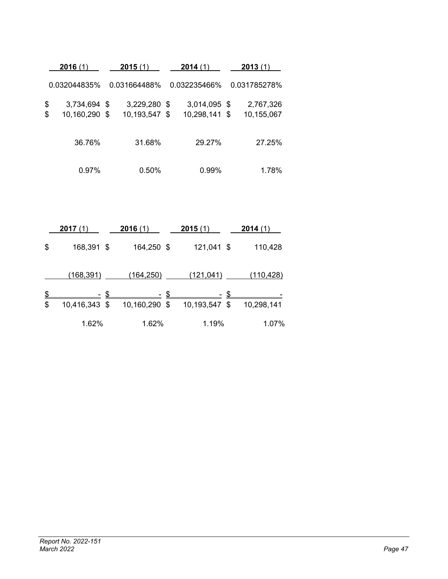|    | 2016 (1      |    | 2015(1)      |      | 2014(1)       | 2013 (1 |              |  |  |
|----|--------------|----|--------------|------|---------------|---------|--------------|--|--|
|    | 0.032044835% |    | 0.031664488% |      | 0.032235466%  |         | 0.031785278% |  |  |
| \$ | 3,734,694 \$ |    | 3,229,280    | - \$ | 3,014,095 \$  |         | 2,767,326    |  |  |
| \$ | 10,160,290   | \$ | 10,193,547   | - \$ | 10,298,141 \$ |         | 10,155,067   |  |  |
|    | 36.76%       |    | 31.68%       |      | 29.27%        |         | 27.25%       |  |  |
|    | 0.97%        |    | 0.50%        |      | $0.99\%$      |         | 1.78%        |  |  |

| 2017(1)             | 2016(1)       |      | 2015(1)       | 2014(1)    |
|---------------------|---------------|------|---------------|------------|
| \$<br>168,391 \$    | 164,250 \$    |      | 121,041 \$    | 110,428    |
| (168, 391)          | (164, 250)    |      | (121, 041)    | (110, 428) |
|                     |               | - \$ |               |            |
| \$<br>10,416,343 \$ | 10,160,290 \$ |      | 10,193,547 \$ | 10,298,141 |
| 1.62%               | 1.62%         |      | 1.19%         | 1.07%      |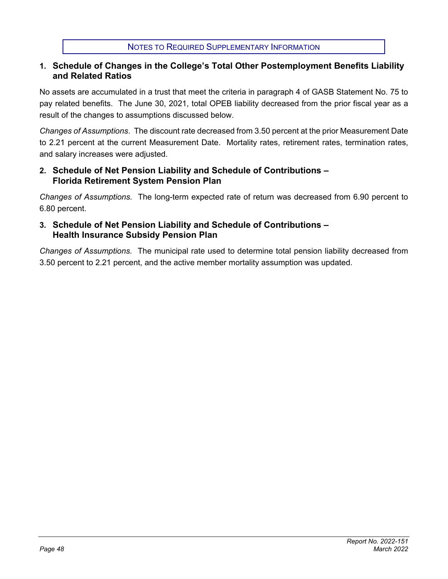## <span id="page-51-0"></span>**1. Schedule of Changes in the College's Total Other Postemployment Benefits Liability and Related Ratios**

No assets are accumulated in a trust that meet the criteria in paragraph 4 of GASB Statement No. 75 to pay related benefits. The June 30, 2021, total OPEB liability decreased from the prior fiscal year as a result of the changes to assumptions discussed below.

*Changes of Assumptions*. The discount rate decreased from 3.50 percent at the prior Measurement Date to 2.21 percent at the current Measurement Date. Mortality rates, retirement rates, termination rates, and salary increases were adjusted.

## **2. Schedule of Net Pension Liability and Schedule of Contributions – Florida Retirement System Pension Plan**

*Changes of Assumptions.* The long-term expected rate of return was decreased from 6.90 percent to 6.80 percent.

## **3. Schedule of Net Pension Liability and Schedule of Contributions – Health Insurance Subsidy Pension Plan**

*Changes of Assumptions.* The municipal rate used to determine total pension liability decreased from 3.50 percent to 2.21 percent, and the active member mortality assumption was updated.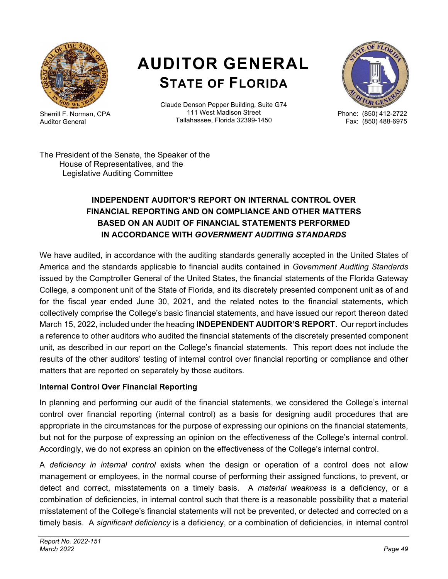<span id="page-52-0"></span>

Sherrill F. Norman, CPA Auditor General

# **AUDITOR GENERAL STATE OF FLORIDA**

Claude Denson Pepper Building, Suite G74 111 West Madison Street Tallahassee, Florida 32399-1450



Phone: (850) 412-2722 Fax: (850) 488-6975

The President of the Senate, the Speaker of the House of Representatives, and the Legislative Auditing Committee

## **INDEPENDENT AUDITOR'S REPORT ON INTERNAL CONTROL OVER FINANCIAL REPORTING AND ON COMPLIANCE AND OTHER MATTERS BASED ON AN AUDIT OF FINANCIAL STATEMENTS PERFORMED IN ACCORDANCE WITH** *GOVERNMENT AUDITING STANDARDS*

We have audited, in accordance with the auditing standards generally accepted in the United States of America and the standards applicable to financial audits contained in *Government Auditing Standards* issued by the Comptroller General of the United States, the financial statements of the Florida Gateway College, a component unit of the State of Florida, and its discretely presented component unit as of and for the fiscal year ended June 30, 2021, and the related notes to the financial statements, which collectively comprise the College's basic financial statements, and have issued our report thereon dated March 15, 2022, included under the heading **INDEPENDENT AUDITOR'S REPORT**. Our report includes a reference to other auditors who audited the financial statements of the discretely presented component unit, as described in our report on the College's financial statements. This report does not include the results of the other auditors' testing of internal control over financial reporting or compliance and other matters that are reported on separately by those auditors.

## **Internal Control Over Financial Reporting**

In planning and performing our audit of the financial statements, we considered the College's internal control over financial reporting (internal control) as a basis for designing audit procedures that are appropriate in the circumstances for the purpose of expressing our opinions on the financial statements, but not for the purpose of expressing an opinion on the effectiveness of the College's internal control. Accordingly, we do not express an opinion on the effectiveness of the College's internal control.

A *deficiency in internal control* exists when the design or operation of a control does not allow management or employees, in the normal course of performing their assigned functions, to prevent, or detect and correct, misstatements on a timely basis. A *material weakness* is a deficiency, or a combination of deficiencies, in internal control such that there is a reasonable possibility that a material misstatement of the College's financial statements will not be prevented, or detected and corrected on a timely basis. A *significant deficiency* is a deficiency, or a combination of deficiencies, in internal control